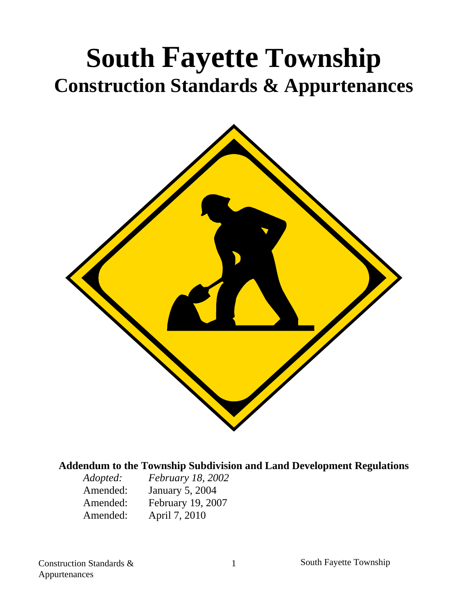# **South Fayette Township Construction Standards & Appurtenances**



#### **Addendum to the Township Subdivision and Land Development Regulations**

| Adopted: | <i>February 18, 2002</i> |
|----------|--------------------------|
| Amended: | <b>January 5, 2004</b>   |
| Amended: | February 19, 2007        |
| Amended: | April 7, 2010            |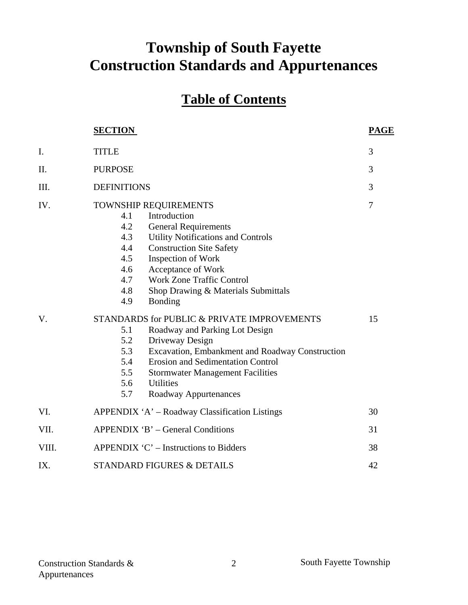## **Township of South Fayette Construction Standards and Appurtenances**

## **Table of Contents**

|       | <b>SECTION</b>                                                                                                                                                                                                                                                                                                                                        | <b>PAGE</b>    |
|-------|-------------------------------------------------------------------------------------------------------------------------------------------------------------------------------------------------------------------------------------------------------------------------------------------------------------------------------------------------------|----------------|
| I.    | <b>TITLE</b>                                                                                                                                                                                                                                                                                                                                          | 3              |
| Π.    | <b>PURPOSE</b>                                                                                                                                                                                                                                                                                                                                        | 3              |
| Ш.    | <b>DEFINITIONS</b>                                                                                                                                                                                                                                                                                                                                    | 3              |
| IV.   | TOWNSHIP REQUIREMENTS<br>Introduction<br>4.1<br>4.2<br><b>General Requirements</b><br><b>Utility Notifications and Controls</b><br>4.3<br>4.4<br><b>Construction Site Safety</b><br>4.5<br>Inspection of Work<br>Acceptance of Work<br>4.6<br><b>Work Zone Traffic Control</b><br>4.7<br>4.8<br>Shop Drawing & Materials Submittals<br>4.9<br>Bonding | $\overline{7}$ |
| V.    | STANDARDS for PUBLIC & PRIVATE IMPROVEMENTS<br>5.1<br>Roadway and Parking Lot Design<br>5.2<br>Driveway Design<br>Excavation, Embankment and Roadway Construction<br>5.3<br><b>Erosion and Sedimentation Control</b><br>5.4<br>5.5<br><b>Stormwater Management Facilities</b><br>5.6<br><b>Utilities</b><br>5.7<br>Roadway Appurtenances              | 15             |
| VI.   | APPENDIX 'A' – Roadway Classification Listings                                                                                                                                                                                                                                                                                                        | 30             |
| VII.  | APPENDIX 'B' – General Conditions                                                                                                                                                                                                                                                                                                                     | 31             |
| VIII. | APPENDIX $C'$ – Instructions to Bidders                                                                                                                                                                                                                                                                                                               | 38             |
| IX.   | <b>STANDARD FIGURES &amp; DETAILS</b>                                                                                                                                                                                                                                                                                                                 | 42             |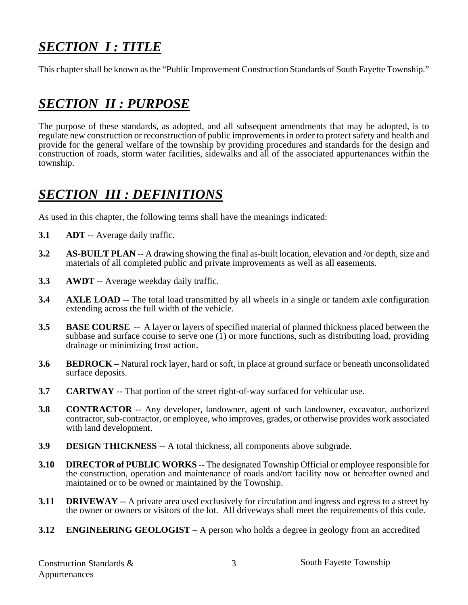## *SECTION I : TITLE*

This chapter shall be known as the "Public Improvement Construction Standards of South Fayette Township."

## *SECTION II : PURPOSE*

The purpose of these standards, as adopted, and all subsequent amendments that may be adopted, is to regulate new construction or reconstruction of public improvements in order to protect safety and health and provide for the general welfare of the township by providing procedures and standards for the design and construction of roads, storm water facilities, sidewalks and all of the associated appurtenances within the township.

### *SECTION III : DEFINITIONS*

As used in this chapter, the following terms shall have the meanings indicated:

- **3.1 ADT** -- Average daily traffic.
- **3.2 AS-BUILT PLAN** -- A drawing showing the final as-built location, elevation and /or depth, size and materials of all completed public and private improvements as well as all easements.
- **3.3 AWDT** -- Average weekday daily traffic.
- **3.4** AXLE LOAD -- The total load transmitted by all wheels in a single or tandem axle configuration extending across the full width of the vehicle.
- **3.5 BASE COURSE** -- A layer or layers of specified material of planned thickness placed between the subbase and surface course to serve one  $(1)$  or more functions, such as distributing load, providing drainage or minimizing frost action.
- **3.6 BEDROCK** Natural rock layer, hard or soft, in place at ground surface or beneath unconsolidated surface deposits.
- **3.7 CARTWAY** -- That portion of the street right-of-way surfaced for vehicular use.
- **3.8 CONTRACTOR** -- Any developer, landowner, agent of such landowner, excavator, authorized contractor, sub-contractor, or employee, who improves, grades, or otherwise provides work associated with land development.
- **3.9 DESIGN THICKNESS** -- A total thickness, all components above subgrade.
- **3.10 DIRECTOR of PUBLIC WORKS --** The designated Township Official or employee responsible for the construction, operation and maintenance of roads and/ort facility now or hereafter owned and maintained or to be owned or maintained by the Township.
- **3.11 DRIVEWAY** -- A private area used exclusively for circulation and ingress and egress to a street by the owner or owners or visitors of the lot. All driveways shall meet the requirements of this code.
- **3.12 ENGINEERING GEOLOGIST** A person who holds a degree in geology from an accredited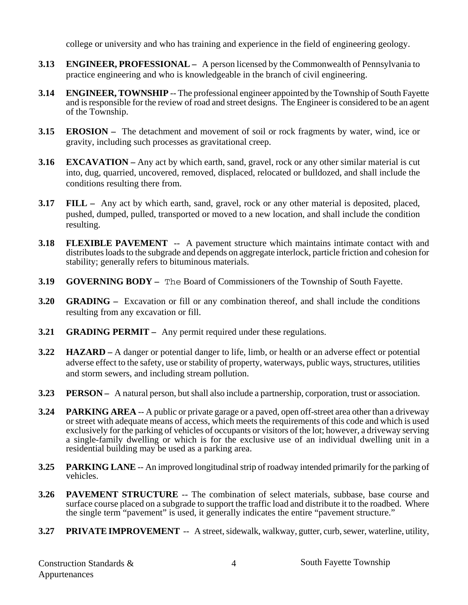college or university and who has training and experience in the field of engineering geology.

- **3.13 ENGINEER, PROFESSIONAL –** A person licensed by the Commonwealth of Pennsylvania to practice engineering and who is knowledgeable in the branch of civil engineering.
- **3.14 ENGINEER, TOWNSHIP** -- The professional engineer appointed by the Township of South Fayette and is responsible for the review of road and street designs. The Engineer is considered to be an agent of the Township.
- **3.15 EROSION –** The detachment and movement of soil or rock fragments by water, wind, ice or gravity, including such processes as gravitational creep.
- **3.16 EXCAVATION –** Any act by which earth, sand, gravel, rock or any other similar material is cut into, dug, quarried, uncovered, removed, displaced, relocated or bulldozed, and shall include the conditions resulting there from.
- **3.17 FILL –** Any act by which earth, sand, gravel, rock or any other material is deposited, placed, pushed, dumped, pulled, transported or moved to a new location, and shall include the condition resulting.
- **3.18 FLEXIBLE PAVEMENT** -- A pavement structure which maintains intimate contact with and distributes loads to the subgrade and depends on aggregate interlock, particle friction and cohesion for stability; generally refers to bituminous materials.
- **3.19 GOVERNING BODY –** The Board of Commissioners of the Township of South Fayette.
- **3.20 GRADING** Excavation or fill or any combination thereof, and shall include the conditions resulting from any excavation or fill.
- **3.21 GRADING PERMIT –** Any permit required under these regulations.
- **3.22 HAZARD –** A danger or potential danger to life, limb, or health or an adverse effect or potential adverse effect to the safety, use or stability of property, waterways, public ways, structures, utilities and storm sewers, and including stream pollution.
- **3.23 PERSON** A natural person, but shall also include a partnership, corporation, trust or association.
- **3.24 PARKING AREA** -- A public or private garage or a paved, open off-street area other than a driveway or street with adequate means of access, which meets the requirements of this code and which is used exclusively for the parking of vehicles of occupants or visitors of the lot; however, a driveway serving a single-family dwelling or which is for the exclusive use of an individual dwelling unit in a residential building may be used as a parking area.
- **3.25 PARKING LANE** -- An improved longitudinal strip of roadway intended primarily for the parking of vehicles.
- **3.26 PAVEMENT STRUCTURE** -- The combination of select materials, subbase, base course and surface course placed on a subgrade to support the traffic load and distribute it to the roadbed. Where the single term "pavement" is used, it generally indicates the entire "pavement structure."
- **3.27 PRIVATE IMPROVEMENT** -- A street, sidewalk, walkway, gutter, curb, sewer, waterline, utility,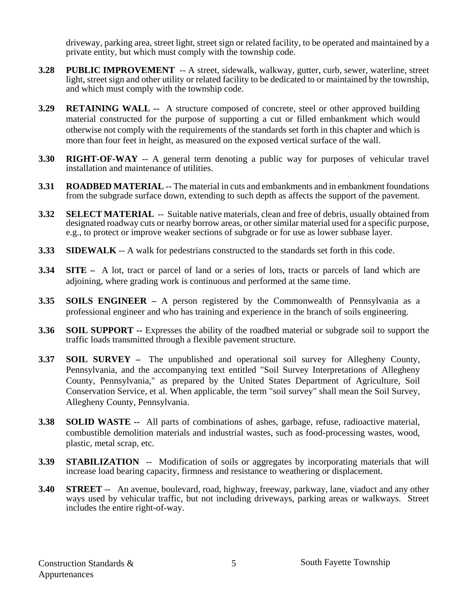driveway, parking area, street light, street sign or related facility, to be operated and maintained by a private entity, but which must comply with the township code.

- **3.28 PUBLIC IMPROVEMENT** -- A street, sidewalk, walkway, gutter, curb, sewer, waterline, street light, street sign and other utility or related facility to be dedicated to or maintained by the township, and which must comply with the township code.
- **3.29 RETAINING WALL --** A structure composed of concrete, steel or other approved building material constructed for the purpose of supporting a cut or filled embankment which would otherwise not comply with the requirements of the standards set forth in this chapter and which is more than four feet in height, as measured on the exposed vertical surface of the wall.
- **3.30 RIGHT-OF-WAY** -- A general term denoting a public way for purposes of vehicular travel installation and maintenance of utilities.
- **3.31 ROADBED MATERIAL** -- The material in cuts and embankments and in embankment foundations from the subgrade surface down, extending to such depth as affects the support of the pavement.
- **3.32 SELECT MATERIAL** -- Suitable native materials, clean and free of debris, usually obtained from designated roadway cuts or nearby borrow areas, or other similar material used for a specific purpose, e.g., to protect or improve weaker sections of subgrade or for use as lower subbase layer.
- **3.33** SIDEWALK -- A walk for pedestrians constructed to the standards set forth in this code.
- **3.34 SITE –** A lot, tract or parcel of land or a series of lots, tracts or parcels of land which are adjoining, where grading work is continuous and performed at the same time.
- **3.35 SOILS ENGINEER** A person registered by the Commonwealth of Pennsylvania as a professional engineer and who has training and experience in the branch of soils engineering.
- **3.36 SOIL SUPPORT --** Expresses the ability of the roadbed material or subgrade soil to support the traffic loads transmitted through a flexible pavement structure.
- **3.37 SOIL SURVEY –** The unpublished and operational soil survey for Allegheny County, Pennsylvania, and the accompanying text entitled "Soil Survey Interpretations of Allegheny County, Pennsylvania," as prepared by the United States Department of Agriculture, Soil Conservation Service, et al. When applicable, the term "soil survey" shall mean the Soil Survey, Allegheny County, Pennsylvania.
- **3.38 SOLID WASTE --** All parts of combinations of ashes, garbage, refuse, radioactive material, combustible demolition materials and industrial wastes, such as food-processing wastes, wood, plastic, metal scrap, etc.
- **3.39 STABILIZATION** -- Modification of soils or aggregates by incorporating materials that will increase load bearing capacity, firmness and resistance to weathering or displacement.
- **3.40 STREET** -- An avenue, boulevard, road, highway, freeway, parkway, lane, viaduct and any other ways used by vehicular traffic, but not including driveways, parking areas or walkways. Street includes the entire right-of-way.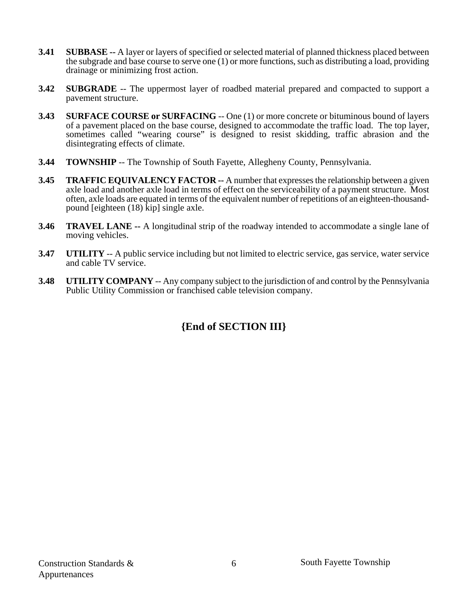- **3.41 SUBBASE --** A layer or layers of specified or selected material of planned thickness placed between the subgrade and base course to serve one (1) or more functions, such as distributing a load, providing drainage or minimizing frost action.
- **3.42** SUBGRADE -- The uppermost layer of roadbed material prepared and compacted to support a pavement structure.
- **3.43** SURFACE COURSE or SURFACING -- One (1) or more concrete or bituminous bound of layers of a pavement placed on the base course, designed to accommodate the traffic load. The top layer, sometimes called "wearing course" is designed to resist skidding, traffic abrasion and the disintegrating effects of climate.
- **3.44 TOWNSHIP** -- The Township of South Fayette, Allegheny County, Pennsylvania.
- **3.45 TRAFFIC EQUIVALENCY FACTOR --** A number that expresses the relationship between a given axle load and another axle load in terms of effect on the serviceability of a payment structure. Most often, axle loads are equated in terms of the equivalent number of repetitions of an eighteen-thousandpound [eighteen (18) kip] single axle.
- **3.46 TRAVEL LANE --** A longitudinal strip of the roadway intended to accommodate a single lane of moving vehicles.
- **3.47** UTILITY -- A public service including but not limited to electric service, gas service, water service and cable TV service.
- **3.48 UTILITY COMPANY** -- Any company subject to the jurisdiction of and control by the Pennsylvania Public Utility Commission or franchised cable television company.

#### **{End of SECTION III}**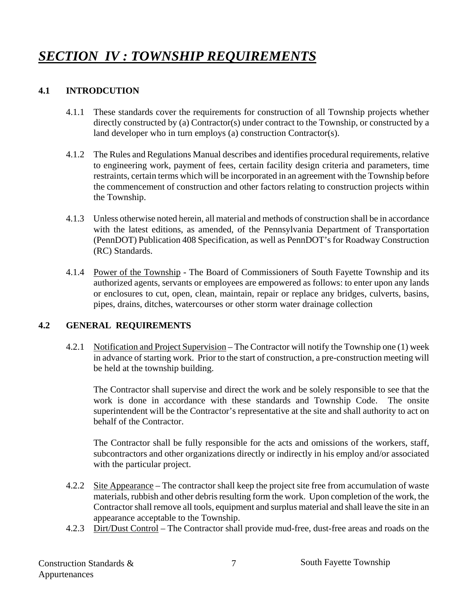## *SECTION IV : TOWNSHIP REQUIREMENTS*

#### **4.1 INTRODCUTION**

- 4.1.1 These standards cover the requirements for construction of all Township projects whether directly constructed by (a) Contractor(s) under contract to the Township, or constructed by a land developer who in turn employs (a) construction Contractor(s).
- 4.1.2 The Rules and Regulations Manual describes and identifies procedural requirements, relative to engineering work, payment of fees, certain facility design criteria and parameters, time restraints, certain terms which will be incorporated in an agreement with the Township before the commencement of construction and other factors relating to construction projects within the Township.
- 4.1.3 Unless otherwise noted herein, all material and methods of construction shall be in accordance with the latest editions, as amended, of the Pennsylvania Department of Transportation (PennDOT) Publication 408 Specification, as well as PennDOT's for Roadway Construction (RC) Standards.
- 4.1.4 Power of the Township The Board of Commissioners of South Fayette Township and its authorized agents, servants or employees are empowered as follows: to enter upon any lands or enclosures to cut, open, clean, maintain, repair or replace any bridges, culverts, basins, pipes, drains, ditches, watercourses or other storm water drainage collection

#### **4.2 GENERAL REQUIREMENTS**

 4.2.1 Notification and Project Supervision – The Contractor will notify the Township one (1) week in advance of starting work. Prior to the start of construction, a pre-construction meeting will be held at the township building.

 The Contractor shall supervise and direct the work and be solely responsible to see that the work is done in accordance with these standards and Township Code. The onsite superintendent will be the Contractor's representative at the site and shall authority to act on behalf of the Contractor.

 The Contractor shall be fully responsible for the acts and omissions of the workers, staff, subcontractors and other organizations directly or indirectly in his employ and/or associated with the particular project.

- 4.2.2 Site Appearance The contractor shall keep the project site free from accumulation of waste materials, rubbish and other debris resulting form the work. Upon completion of the work, the Contractor shall remove all tools, equipment and surplus material and shall leave the site in an appearance acceptable to the Township.
- 4.2.3 Dirt/Dust Control The Contractor shall provide mud-free, dust-free areas and roads on the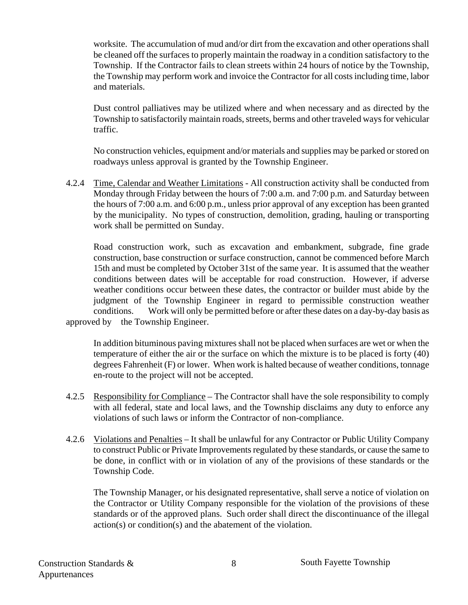worksite. The accumulation of mud and/or dirt from the excavation and other operations shall be cleaned off the surfaces to properly maintain the roadway in a condition satisfactory to the Township. If the Contractor fails to clean streets within 24 hours of notice by the Township, the Township may perform work and invoice the Contractor for all costs including time, labor and materials.

 Dust control palliatives may be utilized where and when necessary and as directed by the Township to satisfactorily maintain roads, streets, berms and other traveled ways for vehicular traffic.

 No construction vehicles, equipment and/or materials and supplies may be parked or stored on roadways unless approval is granted by the Township Engineer.

 4.2.4 Time, Calendar and Weather Limitations - All construction activity shall be conducted from Monday through Friday between the hours of 7:00 a.m. and 7:00 p.m. and Saturday between the hours of 7:00 a.m. and 6:00 p.m., unless prior approval of any exception has been granted by the municipality. No types of construction, demolition, grading, hauling or transporting work shall be permitted on Sunday.

 Road construction work, such as excavation and embankment, subgrade, fine grade construction, base construction or surface construction, cannot be commenced before March 15th and must be completed by October 31st of the same year. It is assumed that the weather conditions between dates will be acceptable for road construction. However, if adverse weather conditions occur between these dates, the contractor or builder must abide by the judgment of the Township Engineer in regard to permissible construction weather conditions. Work will only be permitted before or after these dates on a day-by-day basis as approved by the Township Engineer.

In addition bituminous paving mixtures shall not be placed when surfaces are wet or when the temperature of either the air or the surface on which the mixture is to be placed is forty (40) degrees Fahrenheit (F) or lower. When work is halted because of weather conditions, tonnage en-route to the project will not be accepted.

- 4.2.5 Responsibility for Compliance The Contractor shall have the sole responsibility to comply with all federal, state and local laws, and the Township disclaims any duty to enforce any violations of such laws or inform the Contractor of non-compliance.
- 4.2.6 Violations and Penalties It shall be unlawful for any Contractor or Public Utility Company to construct Public or Private Improvements regulated by these standards, or cause the same to be done, in conflict with or in violation of any of the provisions of these standards or the Township Code.

 The Township Manager, or his designated representative, shall serve a notice of violation on the Contractor or Utility Company responsible for the violation of the provisions of these standards or of the approved plans. Such order shall direct the discontinuance of the illegal action(s) or condition(s) and the abatement of the violation.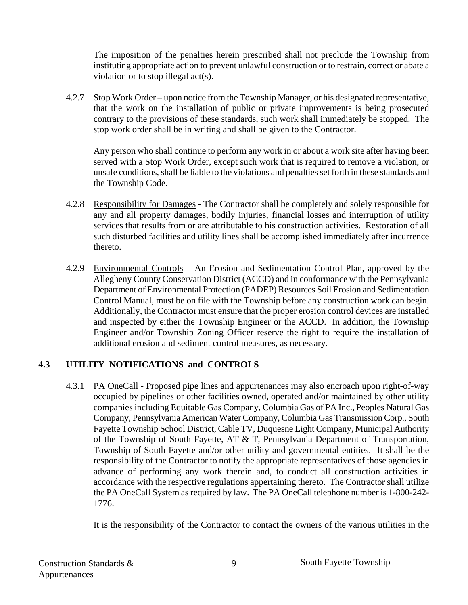The imposition of the penalties herein prescribed shall not preclude the Township from instituting appropriate action to prevent unlawful construction or to restrain, correct or abate a violation or to stop illegal act(s).

4.2.7 Stop Work Order – upon notice from the Township Manager, or his designated representative, that the work on the installation of public or private improvements is being prosecuted contrary to the provisions of these standards, such work shall immediately be stopped. The stop work order shall be in writing and shall be given to the Contractor.

 Any person who shall continue to perform any work in or about a work site after having been served with a Stop Work Order, except such work that is required to remove a violation, or unsafe conditions, shall be liable to the violations and penalties set forth in these standards and the Township Code.

- 4.2.8 Responsibility for Damages The Contractor shall be completely and solely responsible for any and all property damages, bodily injuries, financial losses and interruption of utility services that results from or are attributable to his construction activities. Restoration of all such disturbed facilities and utility lines shall be accomplished immediately after incurrence thereto.
- 4.2.9 Environmental Controls An Erosion and Sedimentation Control Plan, approved by the Allegheny County Conservation District (ACCD) and in conformance with the Pennsylvania Department of Environmental Protection (PADEP) Resources Soil Erosion and Sedimentation Control Manual, must be on file with the Township before any construction work can begin. Additionally, the Contractor must ensure that the proper erosion control devices are installed and inspected by either the Township Engineer or the ACCD. In addition, the Township Engineer and/or Township Zoning Officer reserve the right to require the installation of additional erosion and sediment control measures, as necessary.

#### **4.3 UTILITY NOTIFICATIONS and CONTROLS**

4.3.1 PA OneCall - Proposed pipe lines and appurtenances may also encroach upon right-of-way occupied by pipelines or other facilities owned, operated and/or maintained by other utility companies including Equitable Gas Company, Columbia Gas of PA Inc., Peoples Natural Gas Company, Pennsylvania American Water Company, Columbia Gas Transmission Corp., South Fayette Township School District, Cable TV, Duquesne Light Company, Municipal Authority of the Township of South Fayette, AT & T, Pennsylvania Department of Transportation, Township of South Fayette and/or other utility and governmental entities. It shall be the responsibility of the Contractor to notify the appropriate representatives of those agencies in advance of performing any work therein and, to conduct all construction activities in accordance with the respective regulations appertaining thereto. The Contractor shall utilize the PA OneCall System as required by law. The PA OneCall telephone number is 1-800-242- 1776.

It is the responsibility of the Contractor to contact the owners of the various utilities in the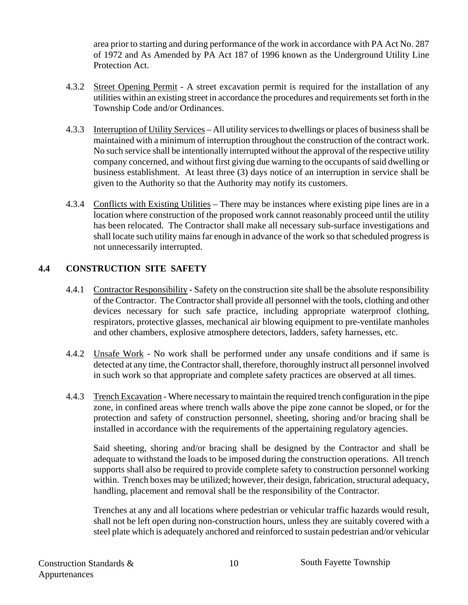area prior to starting and during performance of the work in accordance with PA Act No. 287 of 1972 and As Amended by PA Act 187 of 1996 known as the Underground Utility Line Protection Act.

- 4.3.2 Street Opening Permit A street excavation permit is required for the installation of any utilities within an existing street in accordance the procedures and requirements set forth in the Township Code and/or Ordinances.
- 4.3.3 Interruption of Utility Services All utility services to dwellings or places of business shall be maintained with a minimum of interruption throughout the construction of the contract work. No such service shall be intentionally interrupted without the approval of the respective utility company concerned, and without first giving due warning to the occupants of said dwelling or business establishment. At least three (3) days notice of an interruption in service shall be given to the Authority so that the Authority may notify its customers.
- 4.3.4 Conflicts with Existing Utilities There may be instances where existing pipe lines are in a location where construction of the proposed work cannot reasonably proceed until the utility has been relocated. The Contractor shall make all necessary sub-surface investigations and shall locate such utility mains far enough in advance of the work so that scheduled progress is not unnecessarily interrupted.

#### **4.4 CONSTRUCTION SITE SAFETY**

- 4.4.1 Contractor Responsibility Safety on the construction site shall be the absolute responsibility of the Contractor. The Contractor shall provide all personnel with the tools, clothing and other devices necessary for such safe practice, including appropriate waterproof clothing, respirators, protective glasses, mechanical air blowing equipment to pre-ventilate manholes and other chambers, explosive atmosphere detectors, ladders, safety harnesses, etc.
- 4.4.2 Unsafe Work No work shall be performed under any unsafe conditions and if same is detected at any time, the Contractor shall, therefore, thoroughly instruct all personnel involved in such work so that appropriate and complete safety practices are observed at all times.
- 4.4.3 Trench Excavation Where necessary to maintain the required trench configuration in the pipe zone, in confined areas where trench walls above the pipe zone cannot be sloped, or for the protection and safety of construction personnel, sheeting, shoring and/or bracing shall be installed in accordance with the requirements of the appertaining regulatory agencies.

 Said sheeting, shoring and/or bracing shall be designed by the Contractor and shall be adequate to withstand the loads to be imposed during the construction operations. All trench supports shall also be required to provide complete safety to construction personnel working within. Trench boxes may be utilized; however, their design, fabrication, structural adequacy, handling, placement and removal shall be the responsibility of the Contractor.

 Trenches at any and all locations where pedestrian or vehicular traffic hazards would result, shall not be left open during non-construction hours, unless they are suitably covered with a steel plate which is adequately anchored and reinforced to sustain pedestrian and/or vehicular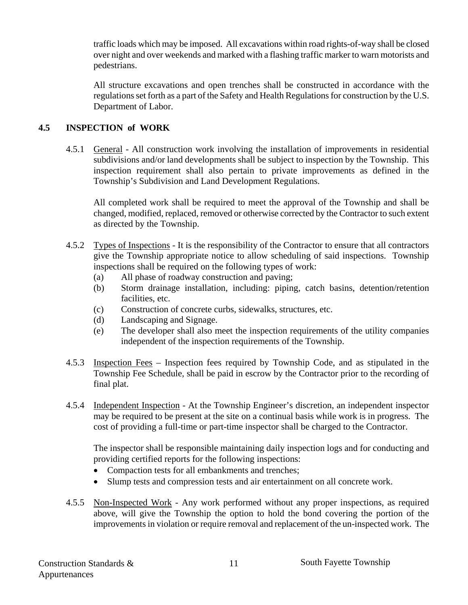traffic loads which may be imposed. All excavations within road rights-of-way shall be closed over night and over weekends and marked with a flashing traffic marker to warn motorists and pedestrians.

 All structure excavations and open trenches shall be constructed in accordance with the regulations set forth as a part of the Safety and Health Regulations for construction by the U.S. Department of Labor.

#### **4.5 INSPECTION of WORK**

4.5.1 General - All construction work involving the installation of improvements in residential subdivisions and/or land developments shall be subject to inspection by the Township. This inspection requirement shall also pertain to private improvements as defined in the Township's Subdivision and Land Development Regulations.

 All completed work shall be required to meet the approval of the Township and shall be changed, modified, replaced, removed or otherwise corrected by the Contractor to such extent as directed by the Township.

- 4.5.2 Types of Inspections It is the responsibility of the Contractor to ensure that all contractors give the Township appropriate notice to allow scheduling of said inspections. Township inspections shall be required on the following types of work:
	- (a) All phase of roadway construction and paving;
	- (b) Storm drainage installation, including: piping, catch basins, detention/retention facilities, etc.
	- (c) Construction of concrete curbs, sidewalks, structures, etc.
	- (d) Landscaping and Signage.
	- (e) The developer shall also meet the inspection requirements of the utility companies independent of the inspection requirements of the Township.
- 4.5.3 Inspection Fees Inspection fees required by Township Code, and as stipulated in the Township Fee Schedule, shall be paid in escrow by the Contractor prior to the recording of final plat.
- 4.5.4 Independent Inspection At the Township Engineer's discretion, an independent inspector may be required to be present at the site on a continual basis while work is in progress. The cost of providing a full-time or part-time inspector shall be charged to the Contractor.

 The inspector shall be responsible maintaining daily inspection logs and for conducting and providing certified reports for the following inspections:

- Compaction tests for all embankments and trenches;
- Slump tests and compression tests and air entertainment on all concrete work.
- 4.5.5 Non-Inspected Work Any work performed without any proper inspections, as required above, will give the Township the option to hold the bond covering the portion of the improvements in violation or require removal and replacement of the un-inspected work. The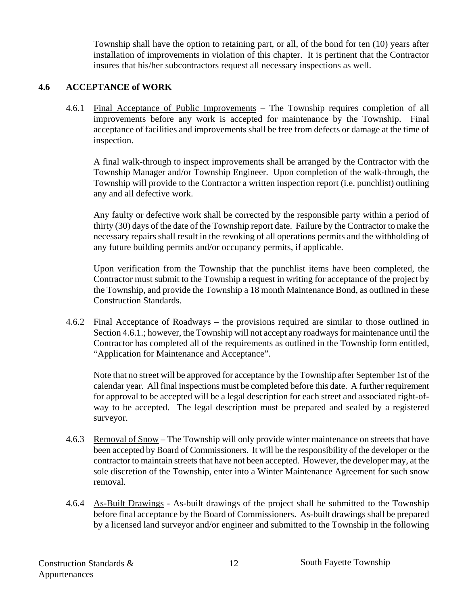Township shall have the option to retaining part, or all, of the bond for ten (10) years after installation of improvements in violation of this chapter. It is pertinent that the Contractor insures that his/her subcontractors request all necessary inspections as well.

#### **4.6 ACCEPTANCE of WORK**

4.6.1 Final Acceptance of Public Improvements – The Township requires completion of all improvements before any work is accepted for maintenance by the Township. Final acceptance of facilities and improvements shall be free from defects or damage at the time of inspection.

A final walk-through to inspect improvements shall be arranged by the Contractor with the Township Manager and/or Township Engineer. Upon completion of the walk-through, the Township will provide to the Contractor a written inspection report (i.e. punchlist) outlining any and all defective work.

 Any faulty or defective work shall be corrected by the responsible party within a period of thirty (30) days of the date of the Township report date. Failure by the Contractor to make the necessary repairs shall result in the revoking of all operations permits and the withholding of any future building permits and/or occupancy permits, if applicable.

 Upon verification from the Township that the punchlist items have been completed, the Contractor must submit to the Township a request in writing for acceptance of the project by the Township, and provide the Township a 18 month Maintenance Bond, as outlined in these Construction Standards.

4.6.2 Final Acceptance of Roadways – the provisions required are similar to those outlined in Section 4.6.1.; however, the Township will not accept any roadways for maintenance until the Contractor has completed all of the requirements as outlined in the Township form entitled, "Application for Maintenance and Acceptance".

Note that no street will be approved for acceptance by the Township after September 1st of the calendar year. All final inspections must be completed before this date. A further requirement for approval to be accepted will be a legal description for each street and associated right-ofway to be accepted. The legal description must be prepared and sealed by a registered surveyor.

- 4.6.3 Removal of Snow The Township will only provide winter maintenance on streets that have been accepted by Board of Commissioners. It will be the responsibility of the developer or the contractor to maintain streets that have not been accepted. However, the developer may, at the sole discretion of the Township, enter into a Winter Maintenance Agreement for such snow removal.
- 4.6.4 As-Built Drawings As-built drawings of the project shall be submitted to the Township before final acceptance by the Board of Commissioners. As-built drawings shall be prepared by a licensed land surveyor and/or engineer and submitted to the Township in the following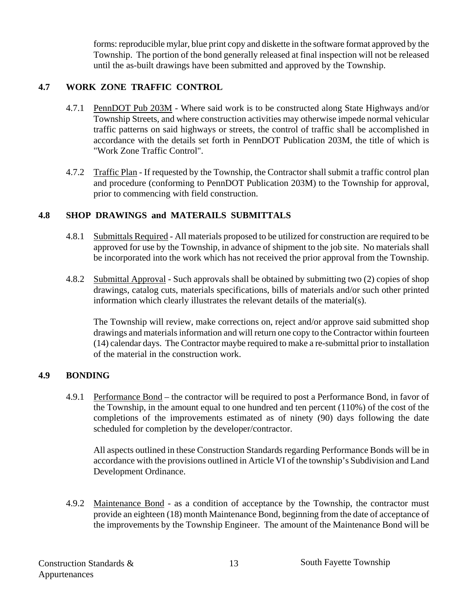forms: reproducible mylar, blue print copy and diskette in the software format approved by the Township. The portion of the bond generally released at final inspection will not be released until the as-built drawings have been submitted and approved by the Township.

#### **4.7 WORK ZONE TRAFFIC CONTROL**

- 4.7.1 PennDOT Pub 203M Where said work is to be constructed along State Highways and/or Township Streets, and where construction activities may otherwise impede normal vehicular traffic patterns on said highways or streets, the control of traffic shall be accomplished in accordance with the details set forth in PennDOT Publication 203M, the title of which is "Work Zone Traffic Control".
- 4.7.2 Traffic Plan If requested by the Township, the Contractor shall submit a traffic control plan and procedure (conforming to PennDOT Publication 203M) to the Township for approval, prior to commencing with field construction.

#### **4.8 SHOP DRAWINGS and MATERAILS SUBMITTALS**

- 4.8.1 Submittals Required All materials proposed to be utilized for construction are required to be approved for use by the Township, in advance of shipment to the job site. No materials shall be incorporated into the work which has not received the prior approval from the Township.
- 4.8.2 Submittal Approval Such approvals shall be obtained by submitting two (2) copies of shop drawings, catalog cuts, materials specifications, bills of materials and/or such other printed information which clearly illustrates the relevant details of the material(s).

 The Township will review, make corrections on, reject and/or approve said submitted shop drawings and materials information and will return one copy to the Contractor within fourteen (14) calendar days. The Contractor maybe required to make a re-submittal prior to installation of the material in the construction work.

#### **4.9 BONDING**

 4.9.1 Performance Bond – the contractor will be required to post a Performance Bond, in favor of the Township, in the amount equal to one hundred and ten percent (110%) of the cost of the completions of the improvements estimated as of ninety (90) days following the date scheduled for completion by the developer/contractor.

 All aspects outlined in these Construction Standards regarding Performance Bonds will be in accordance with the provisions outlined in Article VI of the township's Subdivision and Land Development Ordinance.

 4.9.2 Maintenance Bond - as a condition of acceptance by the Township, the contractor must provide an eighteen (18) month Maintenance Bond, beginning from the date of acceptance of the improvements by the Township Engineer. The amount of the Maintenance Bond will be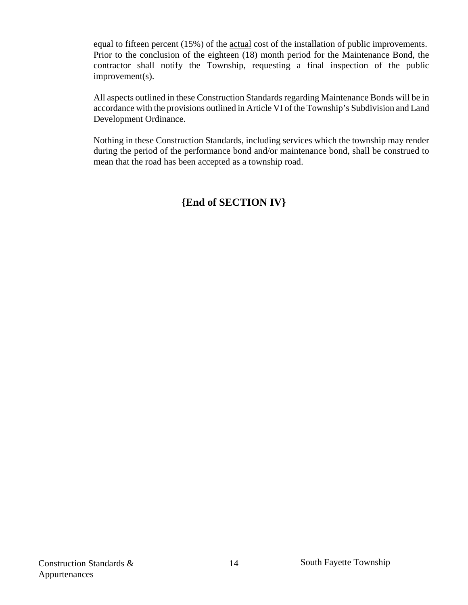equal to fifteen percent (15%) of the actual cost of the installation of public improvements. Prior to the conclusion of the eighteen (18) month period for the Maintenance Bond, the contractor shall notify the Township, requesting a final inspection of the public improvement(s).

 All aspects outlined in these Construction Standards regarding Maintenance Bonds will be in accordance with the provisions outlined in Article VI of the Township's Subdivision and Land Development Ordinance.

Nothing in these Construction Standards, including services which the township may render during the period of the performance bond and/or maintenance bond, shall be construed to mean that the road has been accepted as a township road.

#### **{End of SECTION IV}**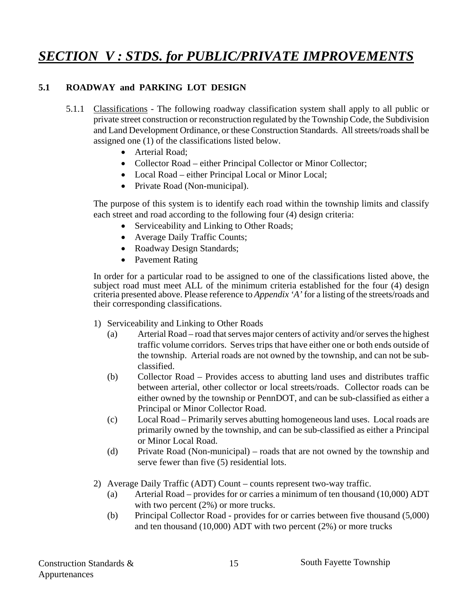### *SECTION V : STDS. for PUBLIC/PRIVATE IMPROVEMENTS*

#### **5.1 ROADWAY and PARKING LOT DESIGN**

- 5.1.1 Classifications The following roadway classification system shall apply to all public or private street construction or reconstruction regulated by the Township Code, the Subdivision and Land Development Ordinance, or these Construction Standards. All streets/roads shall be assigned one (1) of the classifications listed below.
	- Arterial Road:
	- Collector Road either Principal Collector or Minor Collector;
	- Local Road either Principal Local or Minor Local;
	- Private Road (Non-municipal).

 The purpose of this system is to identify each road within the township limits and classify each street and road according to the following four (4) design criteria:

- Serviceability and Linking to Other Roads;
- Average Daily Traffic Counts;
- Roadway Design Standards;
- Pavement Rating

In order for a particular road to be assigned to one of the classifications listed above, the subject road must meet ALL of the minimum criteria established for the four (4) design criteria presented above. Please reference to *Appendix 'A'* for a listing of the streets/roads and their corresponding classifications.

- 1) Serviceability and Linking to Other Roads
	- (a) Arterial Road road that serves major centers of activity and/or serves the highest traffic volume corridors. Serves trips that have either one or both ends outside of the township. Arterial roads are not owned by the township, and can not be subclassified.
	- (b) Collector Road Provides access to abutting land uses and distributes traffic between arterial, other collector or local streets/roads. Collector roads can be either owned by the township or PennDOT, and can be sub-classified as either a Principal or Minor Collector Road.
	- (c) Local Road Primarily serves abutting homogeneous land uses. Local roads are primarily owned by the township, and can be sub-classified as either a Principal or Minor Local Road.
	- (d) Private Road (Non-municipal) roads that are not owned by the township and serve fewer than five (5) residential lots.
- 2) Average Daily Traffic (ADT) Count counts represent two-way traffic.
	- (a) Arterial Road provides for or carries a minimum of ten thousand (10,000) ADT with two percent  $(2%)$  or more trucks.
	- (b) Principal Collector Road provides for or carries between five thousand (5,000) and ten thousand (10,000) ADT with two percent (2%) or more trucks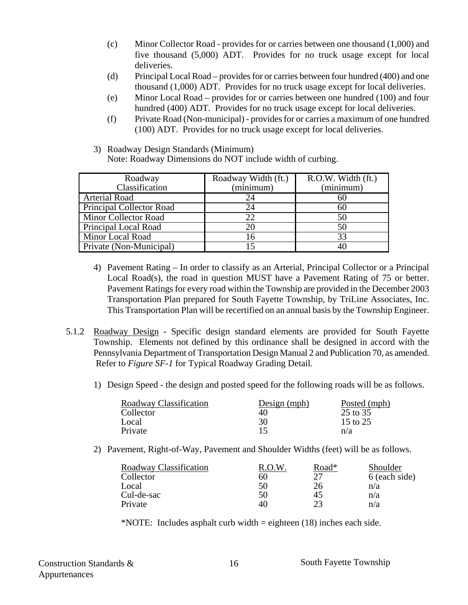- (c) Minor Collector Road provides for or carries between one thousand (1,000) and five thousand (5,000) ADT. Provides for no truck usage except for local deliveries.
- (d) Principal Local Road provides for or carries between four hundred (400) and one thousand (1,000) ADT. Provides for no truck usage except for local deliveries.
- (e) Minor Local Road provides for or carries between one hundred (100) and four hundred (400) ADT. Provides for no truck usage except for local deliveries.
- (f) Private Road (Non-municipal) provides for or carries a maximum of one hundred (100) ADT. Provides for no truck usage except for local deliveries.
- 3) Roadway Design Standards (Minimum)
	- Note: Roadway Dimensions do NOT include width of curbing.

| Roadway<br>Classification       | Roadway Width (ft.)<br>(minimum) | R.O.W. Width (ft.)<br>(minimum) |
|---------------------------------|----------------------------------|---------------------------------|
| <b>Arterial Road</b>            | 24                               | 60                              |
| <b>Principal Collector Road</b> | 24                               | hU                              |
| <b>Minor Collector Road</b>     |                                  | 50                              |
| <b>Principal Local Road</b>     |                                  | 50                              |
| <b>Minor Local Road</b>         |                                  |                                 |
| Private (Non-Municipal)         |                                  |                                 |

- 4) Pavement Rating In order to classify as an Arterial, Principal Collector or a Principal Local Road(s), the road in question MUST have a Pavement Rating of 75 or better. Pavement Ratings for every road within the Township are provided in the December 2003 Transportation Plan prepared for South Fayette Township, by TriLine Associates, Inc. This Transportation Plan will be recertified on an annual basis by the Township Engineer.
- 5.1.2 Roadway Design Specific design standard elements are provided for South Fayette Township. Elements not defined by this ordinance shall be designed in accord with the Pennsylvania Department of Transportation Design Manual 2 and Publication 70, as amended. Refer to *Figure SF-1* for Typical Roadway Grading Detail.
	- 1) Design Speed the design and posted speed for the following roads will be as follows.

| Roadway Classification | Design $(mph)$ | Posted (mph) |
|------------------------|----------------|--------------|
| Collector              | 40             | 25 to 35     |
| Local                  | 30             | 15 to 25     |
| Private                |                | n/a          |

2) Pavement, Right-of-Way, Pavement and Shoulder Widths (feet) will be as follows.

| Roadway Classification | R.O.W | Road* | Shoulder      |
|------------------------|-------|-------|---------------|
| Collector              | 60    | つフ    | 6 (each side) |
| Local                  | 50    | 26    | n/a           |
| Cul-de-sac             | 50    | 45    | n/a           |
| Private                | 40    | 23    | n/a           |

\*NOTE: Includes asphalt curb width = eighteen (18) inches each side.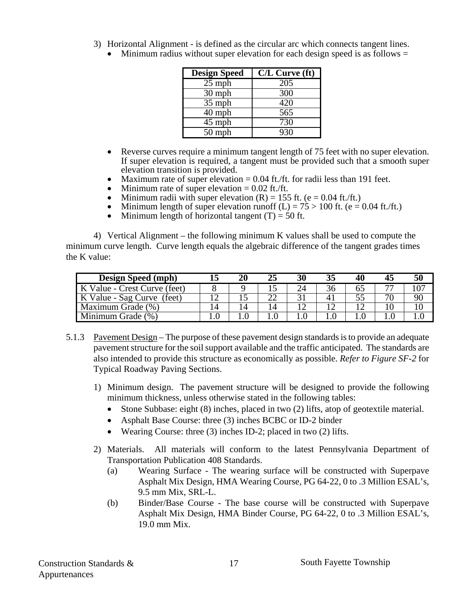- 3) Horizontal Alignment is defined as the circular arc which connects tangent lines.
	- Minimum radius without super elevation for each design speed is as follows  $=$

| <b>Design Speed</b> | $C/L$ Curve $({\bf ft})$ |
|---------------------|--------------------------|
| $25$ mph            | 205                      |
| 30 mph              | 300                      |
| 35 mph              | 420                      |
| $40$ mph            | 565                      |
| 45 mph              | 730                      |
| $50$ mph            | 930                      |

- Reverse curves require a minimum tangent length of 75 feet with no super elevation. If super elevation is required, a tangent must be provided such that a smooth super elevation transition is provided.
- Maximum rate of super elevation  $= 0.04$  ft./ft. for radii less than 191 feet.
- Minimum rate of super elevation  $= 0.02$  ft./ft.
- Minimum radii with super elevation  $(R) = 155$  ft. (e = 0.04 ft./ft.)
- Minimum length of super elevation runoff  $(L) = 75 > 100$  ft. (e = 0.04 ft./ft.)
- Minimum length of horizontal tangent  $(T) = 50$  ft.

4) Vertical Alignment – the following minimum K values shall be used to compute the minimum curve length. Curve length equals the algebraic difference of the tangent grades times the K value:

| <b>Design Speed (mph)</b>     |   | 20  |    |    | 40 |    |    |
|-------------------------------|---|-----|----|----|----|----|----|
| K Value - Crest Curve (feet)  |   |     |    | 36 |    | 77 |    |
| K Value - Sag Curve<br>(feet) |   |     |    |    |    | 70 | 90 |
| Maximum Grade (%)             | Δ | l 4 | ١4 |    |    |    |    |
| Minimum Grade (%)             |   |     |    |    |    |    |    |

- 5.1.3 Pavement Design The purpose of these pavement design standards is to provide an adequate pavement structure for the soil support available and the traffic anticipated. The standards are also intended to provide this structure as economically as possible. *Refer to Figure SF-2* for Typical Roadway Paving Sections.
	- 1) Minimum design. The pavement structure will be designed to provide the following minimum thickness, unless otherwise stated in the following tables:
		- Stone Subbase: eight (8) inches, placed in two (2) lifts, atop of geotextile material.
		- Asphalt Base Course: three (3) inches BCBC or ID-2 binder
		- Wearing Course: three (3) inches ID-2; placed in two (2) lifts.
	- 2) Materials. All materials will conform to the latest Pennsylvania Department of Transportation Publication 408 Standards.
		- (a) Wearing Surface The wearing surface will be constructed with Superpave Asphalt Mix Design, HMA Wearing Course, PG 64-22, 0 to .3 Million ESAL's, 9.5 mm Mix, SRL-L.
		- (b) Binder/Base Course The base course will be constructed with Superpave Asphalt Mix Design, HMA Binder Course, PG 64-22, 0 to .3 Million ESAL's, 19.0 mm Mix.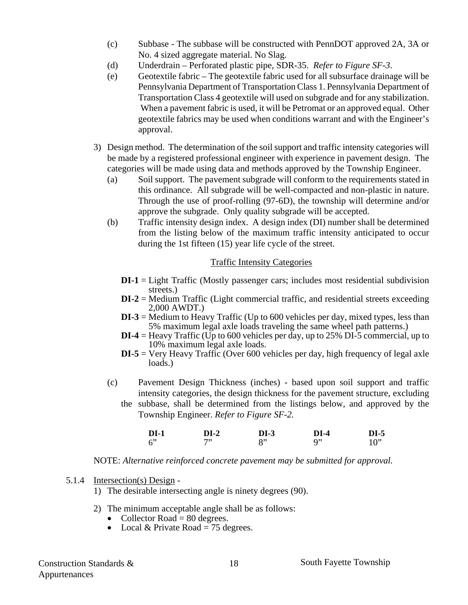- (c) Subbase The subbase will be constructed with PennDOT approved 2A, 3A or No. 4 sized aggregate material. No Slag.
- (d) Underdrain Perforated plastic pipe, SDR-35. *Refer to Figure SF-3*.
- (e) Geotextile fabric The geotextile fabric used for all subsurface drainage will be Pennsylvania Department of Transportation Class 1. Pennsylvania Department of Transportation Class 4 geotextile will used on subgrade and for any stabilization. When a pavement fabric is used, it will be Petromat or an approved equal. Other geotextile fabrics may be used when conditions warrant and with the Engineer's approval.
- 3) Design method. The determination of the soil support and traffic intensity categories will be made by a registered professional engineer with experience in pavement design. The categories will be made using data and methods approved by the Township Engineer.
	- (a) Soil support. The pavement subgrade will conform to the requirements stated in this ordinance. All subgrade will be well-compacted and non-plastic in nature. Through the use of proof-rolling (97-6D), the township will determine and/or approve the subgrade. Only quality subgrade will be accepted.
	- (b) Traffic intensity design index. A design index (DI) number shall be determined from the listing below of the maximum traffic intensity anticipated to occur during the 1st fifteen (15) year life cycle of the street.

#### Traffic Intensity Categories

- **DI-1** = Light Traffic (Mostly passenger cars; includes most residential subdivision streets.)
- **DI-2** = Medium Traffic (Light commercial traffic, and residential streets exceeding 2,000 AWDT.)
- **DI-3** = Medium to Heavy Traffic (Up to 600 vehicles per day, mixed types, less than 5% maximum legal axle loads traveling the same wheel path patterns.)
- **DI-4** = Heavy Traffic (Up to 600 vehicles per day, up to 25% DI-5 commercial, up to 10% maximum legal axle loads.
- **DI-5** = Very Heavy Traffic (Over 600 vehicles per day, high frequency of legal axle loads.)
- (c) Pavement Design Thickness (inches) based upon soil support and traffic intensity categories, the design thickness for the pavement structure, excluding the subbase, shall be determined from the listings below, and approved by the Township Engineer. *Refer to Figure SF-2.*

| DL.<br>$- - -$ | <b>วา.</b> 2<br>--- | <b>DI-3</b> | $\mathbf{D}$ LA<br>$  -$ | <b>DI-5</b><br>--- |
|----------------|---------------------|-------------|--------------------------|--------------------|
|                | 7,                  | о,          | ი,                       | $\Omega$           |

NOTE: *Alternative reinforced concrete pavement may be submitted for approval.* 

#### 5.1.4 Intersection(s) Design -

- 1) The desirable intersecting angle is ninety degrees (90).
- 2) The minimum acceptable angle shall be as follows:
	- Collector Road  $= 80$  degrees.
	- Local & Private Road  $= 75$  degrees.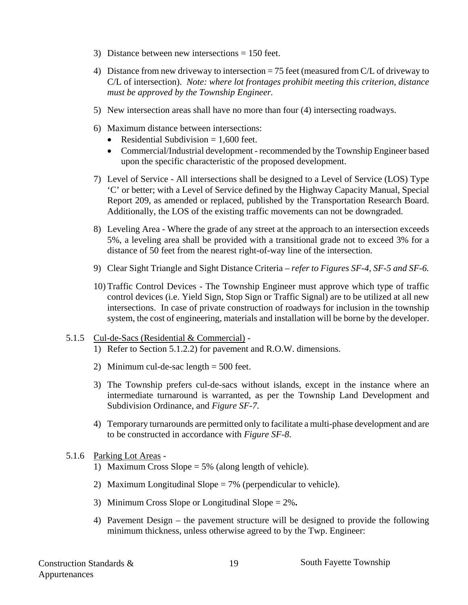- 3) Distance between new intersections = 150 feet.
- 4) Distance from new driveway to intersection = 75 feet (measured from C/L of driveway to C/L of intersection). *Note: where lot frontages prohibit meeting this criterion, distance must be approved by the Township Engineer.*
- 5) New intersection areas shall have no more than four (4) intersecting roadways.
- 6) Maximum distance between intersections:
	- Residential Subdivision  $= 1,600$  feet.
	- Commercial/Industrial development recommended by the Township Engineer based upon the specific characteristic of the proposed development.
- 7) Level of Service All intersections shall be designed to a Level of Service (LOS) Type 'C' or better; with a Level of Service defined by the Highway Capacity Manual, Special Report 209, as amended or replaced, published by the Transportation Research Board. Additionally, the LOS of the existing traffic movements can not be downgraded.
- 8) Leveling Area Where the grade of any street at the approach to an intersection exceeds 5%, a leveling area shall be provided with a transitional grade not to exceed 3% for a distance of 50 feet from the nearest right-of-way line of the intersection.
- 9) Clear Sight Triangle and Sight Distance Criteria *refer to Figures SF-4, SF-5 and SF-6.*
- 10) Traffic Control Devices The Township Engineer must approve which type of traffic control devices (i.e. Yield Sign, Stop Sign or Traffic Signal) are to be utilized at all new intersections. In case of private construction of roadways for inclusion in the township system, the cost of engineering, materials and installation will be borne by the developer.

#### 5.1.5 Cul-de-Sacs (Residential & Commercial) -

- 1) Refer to Section 5.1.2.2) for pavement and R.O.W. dimensions.
- 2) Minimum cul-de-sac length = 500 feet.
- 3) The Township prefers cul-de-sacs without islands, except in the instance where an intermediate turnaround is warranted, as per the Township Land Development and Subdivision Ordinance, and *Figure SF-7*.
- 4) Temporary turnarounds are permitted only to facilitate a multi-phase development and are to be constructed in accordance with *Figure SF-8*.

#### 5.1.6 Parking Lot Areas -

- 1) Maximum Cross Slope = 5% (along length of vehicle).
- 2) Maximum Longitudinal Slope  $= 7\%$  (perpendicular to vehicle).
- 3) Minimum Cross Slope or Longitudinal Slope = 2%**.**
- 4) Pavement Design the pavement structure will be designed to provide the following minimum thickness, unless otherwise agreed to by the Twp. Engineer: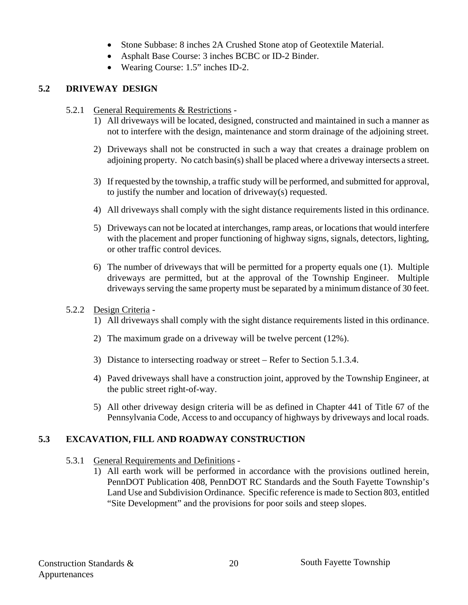- Stone Subbase: 8 inches 2A Crushed Stone atop of Geotextile Material.
- Asphalt Base Course: 3 inches BCBC or ID-2 Binder.
- Wearing Course: 1.5" inches ID-2.

#### **5.2 DRIVEWAY DESIGN**

- 5.2.1 General Requirements & Restrictions
	- 1) All driveways will be located, designed, constructed and maintained in such a manner as not to interfere with the design, maintenance and storm drainage of the adjoining street.
	- 2) Driveways shall not be constructed in such a way that creates a drainage problem on adjoining property. No catch basin(s) shall be placed where a driveway intersects a street.
	- 3) If requested by the township, a traffic study will be performed, and submitted for approval, to justify the number and location of driveway(s) requested.
	- 4) All driveways shall comply with the sight distance requirements listed in this ordinance.
	- 5) Driveways can not be located at interchanges, ramp areas, or locations that would interfere with the placement and proper functioning of highway signs, signals, detectors, lighting, or other traffic control devices.
	- 6) The number of driveways that will be permitted for a property equals one (1). Multiple driveways are permitted, but at the approval of the Township Engineer. Multiple driveways serving the same property must be separated by a minimum distance of 30 feet.
- 5.2.2 Design Criteria
	- 1) All driveways shall comply with the sight distance requirements listed in this ordinance.
	- 2) The maximum grade on a driveway will be twelve percent (12%).
	- 3) Distance to intersecting roadway or street Refer to Section 5.1.3.4.
	- 4) Paved driveways shall have a construction joint, approved by the Township Engineer, at the public street right-of-way.
	- 5) All other driveway design criteria will be as defined in Chapter 441 of Title 67 of the Pennsylvania Code, Access to and occupancy of highways by driveways and local roads.

#### **5.3 EXCAVATION, FILL AND ROADWAY CONSTRUCTION**

- 5.3.1 General Requirements and Definitions
	- 1) All earth work will be performed in accordance with the provisions outlined herein, PennDOT Publication 408, PennDOT RC Standards and the South Fayette Township's Land Use and Subdivision Ordinance. Specific reference is made to Section 803, entitled "Site Development" and the provisions for poor soils and steep slopes.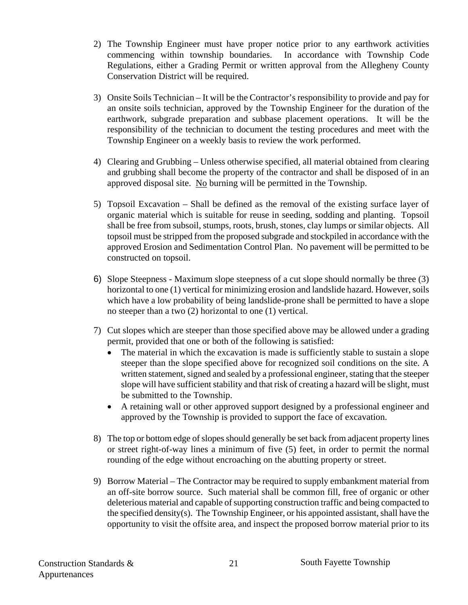- 2) The Township Engineer must have proper notice prior to any earthwork activities commencing within township boundaries. In accordance with Township Code Regulations, either a Grading Permit or written approval from the Allegheny County Conservation District will be required.
- 3) Onsite Soils Technician It will be the Contractor's responsibility to provide and pay for an onsite soils technician, approved by the Township Engineer for the duration of the earthwork, subgrade preparation and subbase placement operations. It will be the responsibility of the technician to document the testing procedures and meet with the Township Engineer on a weekly basis to review the work performed.
- 4) Clearing and Grubbing Unless otherwise specified, all material obtained from clearing and grubbing shall become the property of the contractor and shall be disposed of in an approved disposal site. No burning will be permitted in the Township.
- 5) Topsoil Excavation Shall be defined as the removal of the existing surface layer of organic material which is suitable for reuse in seeding, sodding and planting. Topsoil shall be free from subsoil, stumps, roots, brush, stones, clay lumps or similar objects. All topsoil must be stripped from the proposed subgrade and stockpiled in accordance with the approved Erosion and Sedimentation Control Plan. No pavement will be permitted to be constructed on topsoil.
- 6) Slope Steepness Maximum slope steepness of a cut slope should normally be three (3) horizontal to one (1) vertical for minimizing erosion and landslide hazard. However, soils which have a low probability of being landslide-prone shall be permitted to have a slope no steeper than a two (2) horizontal to one (1) vertical.
- 7) Cut slopes which are steeper than those specified above may be allowed under a grading permit, provided that one or both of the following is satisfied:
	- The material in which the excavation is made is sufficiently stable to sustain a slope steeper than the slope specified above for recognized soil conditions on the site. A written statement, signed and sealed by a professional engineer, stating that the steeper slope will have sufficient stability and that risk of creating a hazard will be slight, must be submitted to the Township.
	- A retaining wall or other approved support designed by a professional engineer and approved by the Township is provided to support the face of excavation.
- 8) The top or bottom edge of slopes should generally be set back from adjacent property lines or street right-of-way lines a minimum of five (5) feet, in order to permit the normal rounding of the edge without encroaching on the abutting property or street.
- 9) Borrow Material The Contractor may be required to supply embankment material from an off-site borrow source. Such material shall be common fill, free of organic or other deleterious material and capable of supporting construction traffic and being compacted to the specified density(s). The Township Engineer, or his appointed assistant, shall have the opportunity to visit the offsite area, and inspect the proposed borrow material prior to its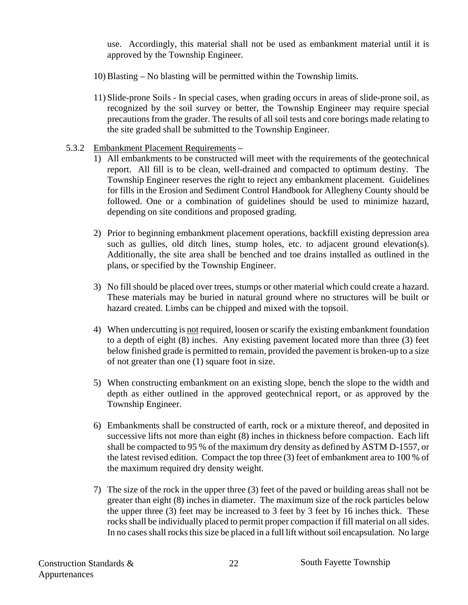use. Accordingly, this material shall not be used as embankment material until it is approved by the Township Engineer.

- 10) Blasting No blasting will be permitted within the Township limits.
- 11) Slide-prone Soils In special cases, when grading occurs in areas of slide-prone soil, as recognized by the soil survey or better, the Township Engineer may require special precautions from the grader. The results of all soil tests and core borings made relating to the site graded shall be submitted to the Township Engineer.

#### 5.3.2 Embankment Placement Requirements –

- 1) All embankments to be constructed will meet with the requirements of the geotechnical report. All fill is to be clean, well-drained and compacted to optimum destiny. The Township Engineer reserves the right to reject any embankment placement. Guidelines for fills in the Erosion and Sediment Control Handbook for Allegheny County should be followed. One or a combination of guidelines should be used to minimize hazard, depending on site conditions and proposed grading.
- 2) Prior to beginning embankment placement operations, backfill existing depression area such as gullies, old ditch lines, stump holes, etc. to adjacent ground elevation(s). Additionally, the site area shall be benched and toe drains installed as outlined in the plans, or specified by the Township Engineer.
- 3) No fill should be placed over trees, stumps or other material which could create a hazard. These materials may be buried in natural ground where no structures will be built or hazard created. Limbs can be chipped and mixed with the topsoil.
- 4) When undercutting is not required, loosen or scarify the existing embankment foundation to a depth of eight (8) inches. Any existing pavement located more than three (3) feet below finished grade is permitted to remain, provided the pavement is broken-up to a size of not greater than one (1) square foot in size.
- 5) When constructing embankment on an existing slope, bench the slope to the width and depth as either outlined in the approved geotechnical report, or as approved by the Township Engineer.
- 6) Embankments shall be constructed of earth, rock or a mixture thereof, and deposited in successive lifts not more than eight (8) inches in thickness before compaction. Each lift shall be compacted to 95 % of the maximum dry density as defined by ASTM D-1557, or the latest revised edition. Compact the top three (3) feet of embankment area to 100 % of the maximum required dry density weight.
- 7) The size of the rock in the upper three (3) feet of the paved or building areas shall not be greater than eight (8) inches in diameter. The maximum size of the rock particles below the upper three (3) feet may be increased to 3 feet by 3 feet by 16 inches thick. These rocks shall be individually placed to permit proper compaction if fill material on all sides. In no cases shall rocks this size be placed in a full lift without soil encapsulation. No large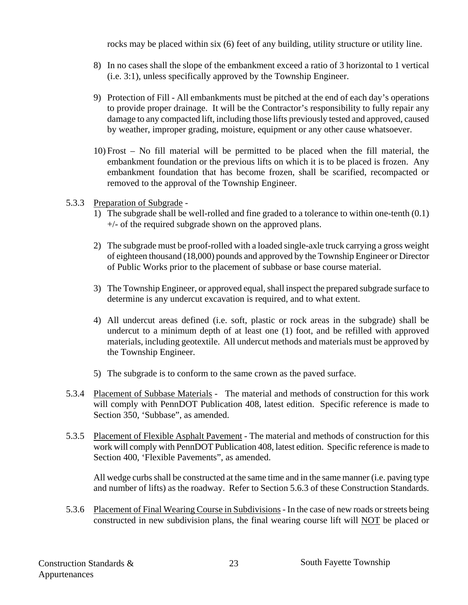rocks may be placed within six (6) feet of any building, utility structure or utility line.

- 8) In no cases shall the slope of the embankment exceed a ratio of 3 horizontal to 1 vertical (i.e. 3:1), unless specifically approved by the Township Engineer.
- 9) Protection of Fill All embankments must be pitched at the end of each day's operations to provide proper drainage. It will be the Contractor's responsibility to fully repair any damage to any compacted lift, including those lifts previously tested and approved, caused by weather, improper grading, moisture, equipment or any other cause whatsoever.
- 10) Frost No fill material will be permitted to be placed when the fill material, the embankment foundation or the previous lifts on which it is to be placed is frozen. Any embankment foundation that has become frozen, shall be scarified, recompacted or removed to the approval of the Township Engineer.
- 5.3.3 Preparation of Subgrade
	- 1) The subgrade shall be well-rolled and fine graded to a tolerance to within one-tenth (0.1) +/- of the required subgrade shown on the approved plans.
	- 2) The subgrade must be proof-rolled with a loaded single-axle truck carrying a gross weight of eighteen thousand (18,000) pounds and approved by the Township Engineer or Director of Public Works prior to the placement of subbase or base course material.
	- 3) The Township Engineer, or approved equal, shall inspect the prepared subgrade surface to determine is any undercut excavation is required, and to what extent.
	- 4) All undercut areas defined (i.e. soft, plastic or rock areas in the subgrade) shall be undercut to a minimum depth of at least one (1) foot, and be refilled with approved materials, including geotextile. All undercut methods and materials must be approved by the Township Engineer.
	- 5) The subgrade is to conform to the same crown as the paved surface.
- 5.3.4 Placement of Subbase Materials The material and methods of construction for this work will comply with PennDOT Publication 408, latest edition. Specific reference is made to Section 350, 'Subbase", as amended.
- 5.3.5 Placement of Flexible Asphalt Pavement The material and methods of construction for this work will comply with PennDOT Publication 408, latest edition. Specific reference is made to Section 400, 'Flexible Pavements", as amended.

 All wedge curbs shall be constructed at the same time and in the same manner (i.e. paving type and number of lifts) as the roadway. Refer to Section 5.6.3 of these Construction Standards.

5.3.6 Placement of Final Wearing Course in Subdivisions - In the case of new roads or streets being constructed in new subdivision plans, the final wearing course lift will NOT be placed or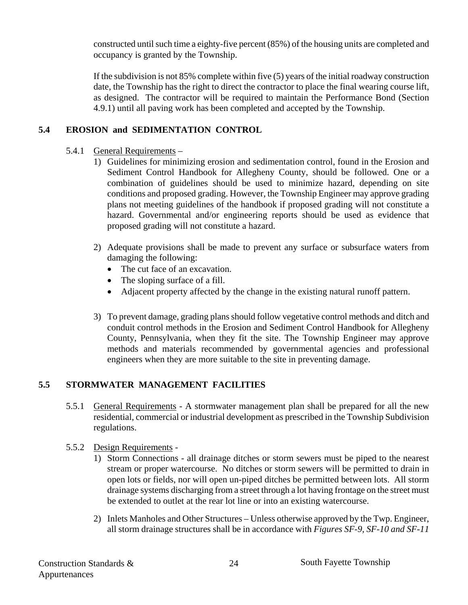constructed until such time a eighty-five percent (85%) of the housing units are completed and occupancy is granted by the Township.

 If the subdivision is not 85% complete within five (5) years of the initial roadway construction date, the Township has the right to direct the contractor to place the final wearing course lift, as designed. The contractor will be required to maintain the Performance Bond (Section 4.9.1) until all paving work has been completed and accepted by the Township.

#### **5.4 EROSION and SEDIMENTATION CONTROL**

- 5.4.1 General Requirements
	- 1) Guidelines for minimizing erosion and sedimentation control, found in the Erosion and Sediment Control Handbook for Allegheny County, should be followed. One or a combination of guidelines should be used to minimize hazard, depending on site conditions and proposed grading. However, the Township Engineer may approve grading plans not meeting guidelines of the handbook if proposed grading will not constitute a hazard. Governmental and/or engineering reports should be used as evidence that proposed grading will not constitute a hazard.
	- 2) Adequate provisions shall be made to prevent any surface or subsurface waters from damaging the following:
		- The cut face of an excavation.
		- The sloping surface of a fill.
		- Adjacent property affected by the change in the existing natural runoff pattern.
	- 3) To prevent damage, grading plans should follow vegetative control methods and ditch and conduit control methods in the Erosion and Sediment Control Handbook for Allegheny County, Pennsylvania, when they fit the site. The Township Engineer may approve methods and materials recommended by governmental agencies and professional engineers when they are more suitable to the site in preventing damage.

#### **5.5 STORMWATER MANAGEMENT FACILITIES**

- 5.5.1 General Requirements A stormwater management plan shall be prepared for all the new residential, commercial or industrial development as prescribed in the Township Subdivision regulations.
- 5.5.2 Design Requirements
	- 1) Storm Connections all drainage ditches or storm sewers must be piped to the nearest stream or proper watercourse. No ditches or storm sewers will be permitted to drain in open lots or fields, nor will open un-piped ditches be permitted between lots. All storm drainage systems discharging from a street through a lot having frontage on the street must be extended to outlet at the rear lot line or into an existing watercourse.
	- 2) Inlets Manholes and Other Structures Unless otherwise approved by the Twp. Engineer, all storm drainage structures shall be in accordance with *Figures SF-9, SF-10 and SF-11*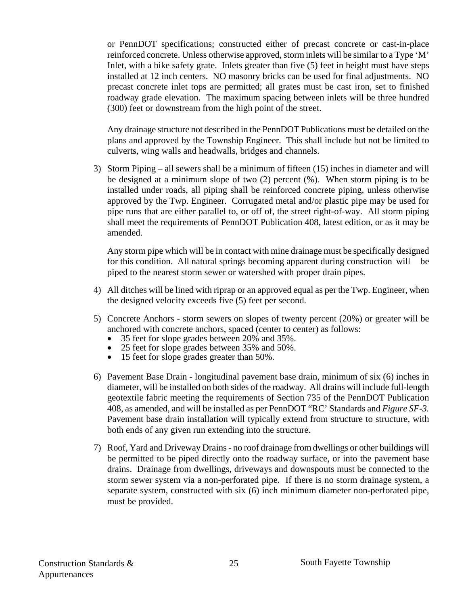or PennDOT specifications; constructed either of precast concrete or cast-in-place reinforced concrete. Unless otherwise approved, storm inlets will be similar to a Type 'M' Inlet, with a bike safety grate. Inlets greater than five (5) feet in height must have steps installed at 12 inch centers. NO masonry bricks can be used for final adjustments. NO precast concrete inlet tops are permitted; all grates must be cast iron, set to finished roadway grade elevation. The maximum spacing between inlets will be three hundred (300) feet or downstream from the high point of the street.

 Any drainage structure not described in the PennDOT Publications must be detailed on the plans and approved by the Township Engineer. This shall include but not be limited to culverts, wing walls and headwalls, bridges and channels.

3) Storm Piping – all sewers shall be a minimum of fifteen (15) inches in diameter and will be designed at a minimum slope of two (2) percent (%). When storm piping is to be installed under roads, all piping shall be reinforced concrete piping, unless otherwise approved by the Twp. Engineer. Corrugated metal and/or plastic pipe may be used for pipe runs that are either parallel to, or off of, the street right-of-way. All storm piping shall meet the requirements of PennDOT Publication 408, latest edition, or as it may be amended.

 Any storm pipe which will be in contact with mine drainage must be specifically designed for this condition. All natural springs becoming apparent during construction will be piped to the nearest storm sewer or watershed with proper drain pipes.

- 4) All ditches will be lined with riprap or an approved equal as per the Twp. Engineer, when the designed velocity exceeds five (5) feet per second.
- 5) Concrete Anchors storm sewers on slopes of twenty percent (20%) or greater will be anchored with concrete anchors, spaced (center to center) as follows:
	- 35 feet for slope grades between 20% and 35%. 25 feet for slope grades between 35% and 50%.
	-
	- 15 feet for slope grades greater than 50%.
- 6) Pavement Base Drain longitudinal pavement base drain, minimum of six (6) inches in diameter, will be installed on both sides of the roadway. All drains will include full-length geotextile fabric meeting the requirements of Section 735 of the PennDOT Publication 408, as amended, and will be installed as per PennDOT "RC' Standards and *Figure SF-3.* Pavement base drain installation will typically extend from structure to structure, with both ends of any given run extending into the structure.
- 7) Roof, Yard and Driveway Drains no roof drainage from dwellings or other buildings will be permitted to be piped directly onto the roadway surface, or into the pavement base drains. Drainage from dwellings, driveways and downspouts must be connected to the storm sewer system via a non-perforated pipe. If there is no storm drainage system, a separate system, constructed with six (6) inch minimum diameter non-perforated pipe, must be provided.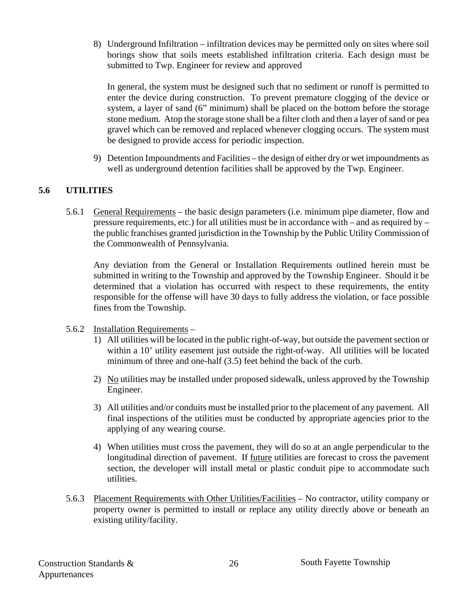8) Underground Infiltration – infiltration devices may be permitted only on sites where soil borings show that soils meets established infiltration criteria. Each design must be submitted to Twp. Engineer for review and approved

 In general, the system must be designed such that no sediment or runoff is permitted to enter the device during construction. To prevent premature clogging of the device or system, a layer of sand (6" minimum) shall be placed on the bottom before the storage stone medium. Atop the storage stone shall be a filter cloth and then a layer of sand or pea gravel which can be removed and replaced whenever clogging occurs. The system must be designed to provide access for periodic inspection.

9) Detention Impoundments and Facilities – the design of either dry or wet impoundments as well as underground detention facilities shall be approved by the Twp. Engineer.

#### **5.6 UTILITIES**

5.6.1 General Requirements – the basic design parameters (i.e. minimum pipe diameter, flow and pressure requirements, etc.) for all utilities must be in accordance with – and as required by – the public franchises granted jurisdiction in the Township by the Public Utility Commission of the Commonwealth of Pennsylvania.

 Any deviation from the General or Installation Requirements outlined herein must be submitted in writing to the Township and approved by the Township Engineer. Should it be determined that a violation has occurred with respect to these requirements, the entity responsible for the offense will have 30 days to fully address the violation, or face possible fines from the Township.

- 5.6.2 Installation Requirements
	- 1) All utilities will be located in the public right-of-way, but outside the pavement section or within a 10' utility easement just outside the right-of-way. All utilities will be located minimum of three and one-half (3.5) feet behind the back of the curb.
	- 2) No utilities may be installed under proposed sidewalk, unless approved by the Township Engineer.
	- 3) All utilities and/or conduits must be installed prior to the placement of any pavement. All final inspections of the utilities must be conducted by appropriate agencies prior to the applying of any wearing course.
	- 4) When utilities must cross the pavement, they will do so at an angle perpendicular to the longitudinal direction of pavement. If future utilities are forecast to cross the pavement section, the developer will install metal or plastic conduit pipe to accommodate such utilities.
- 5.6.3 Placement Requirements with Other Utilities/Facilities No contractor, utility company or property owner is permitted to install or replace any utility directly above or beneath an existing utility/facility.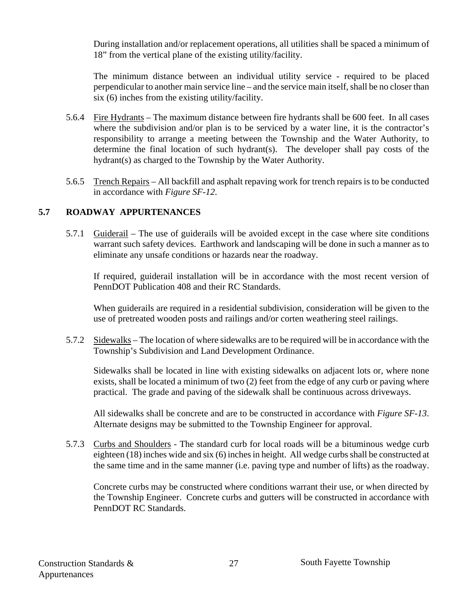During installation and/or replacement operations, all utilities shall be spaced a minimum of 18" from the vertical plane of the existing utility/facility.

 The minimum distance between an individual utility service - required to be placed perpendicular to another main service line – and the service main itself, shall be no closer than six (6) inches from the existing utility/facility.

- 5.6.4 Fire Hydrants The maximum distance between fire hydrants shall be 600 feet. In all cases where the subdivision and/or plan is to be serviced by a water line, it is the contractor's responsibility to arrange a meeting between the Township and the Water Authority, to determine the final location of such hydrant(s). The developer shall pay costs of the hydrant(s) as charged to the Township by the Water Authority.
- 5.6.5 Trench Repairs All backfill and asphalt repaving work for trench repairs is to be conducted in accordance with *Figure SF-12*.

#### **5.7 ROADWAY APPURTENANCES**

5.7.1 Guiderail – The use of guiderails will be avoided except in the case where site conditions warrant such safety devices. Earthwork and landscaping will be done in such a manner as to eliminate any unsafe conditions or hazards near the roadway.

 If required, guiderail installation will be in accordance with the most recent version of PennDOT Publication 408 and their RC Standards.

 When guiderails are required in a residential subdivision, consideration will be given to the use of pretreated wooden posts and railings and/or corten weathering steel railings.

5.7.2 Sidewalks – The location of where sidewalks are to be required will be in accordance with the Township's Subdivision and Land Development Ordinance.

Sidewalks shall be located in line with existing sidewalks on adjacent lots or, where none exists, shall be located a minimum of two (2) feet from the edge of any curb or paving where practical. The grade and paving of the sidewalk shall be continuous across driveways.

All sidewalks shall be concrete and are to be constructed in accordance with *Figure SF-13*. Alternate designs may be submitted to the Township Engineer for approval.

5.7.3 Curbs and Shoulders - The standard curb for local roads will be a bituminous wedge curb eighteen (18) inches wide and six (6) inches in height. All wedge curbs shall be constructed at the same time and in the same manner (i.e. paving type and number of lifts) as the roadway.

 Concrete curbs may be constructed where conditions warrant their use, or when directed by the Township Engineer. Concrete curbs and gutters will be constructed in accordance with PennDOT RC Standards.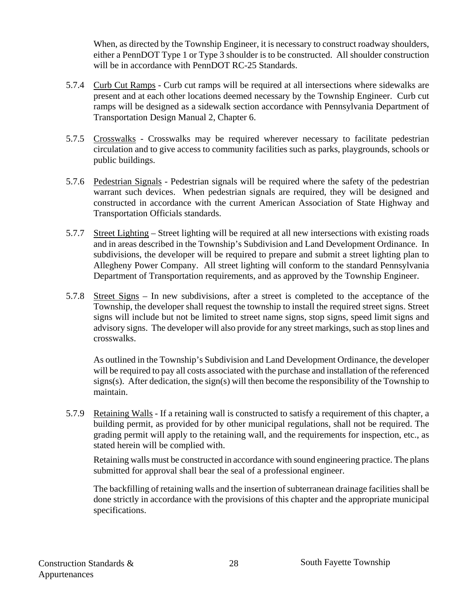When, as directed by the Township Engineer, it is necessary to construct roadway shoulders, either a PennDOT Type 1 or Type 3 shoulder is to be constructed. All shoulder construction will be in accordance with PennDOT RC-25 Standards.

- 5.7.4 Curb Cut Ramps Curb cut ramps will be required at all intersections where sidewalks are present and at each other locations deemed necessary by the Township Engineer. Curb cut ramps will be designed as a sidewalk section accordance with Pennsylvania Department of Transportation Design Manual 2, Chapter 6.
- 5.7.5 Crosswalks Crosswalks may be required wherever necessary to facilitate pedestrian circulation and to give access to community facilities such as parks, playgrounds, schools or public buildings.
- 5.7.6 Pedestrian Signals Pedestrian signals will be required where the safety of the pedestrian warrant such devices. When pedestrian signals are required, they will be designed and constructed in accordance with the current American Association of State Highway and Transportation Officials standards.
- 5.7.7 Street Lighting Street lighting will be required at all new intersections with existing roads and in areas described in the Township's Subdivision and Land Development Ordinance. In subdivisions, the developer will be required to prepare and submit a street lighting plan to Allegheny Power Company. All street lighting will conform to the standard Pennsylvania Department of Transportation requirements, and as approved by the Township Engineer.
- 5.7.8 Street Signs In new subdivisions, after a street is completed to the acceptance of the Township, the developer shall request the township to install the required street signs. Street signs will include but not be limited to street name signs, stop signs, speed limit signs and advisory signs. The developer will also provide for any street markings, such as stop lines and crosswalks.

As outlined in the Township's Subdivision and Land Development Ordinance, the developer will be required to pay all costs associated with the purchase and installation of the referenced signs(s). After dedication, the sign(s) will then become the responsibility of the Township to maintain.

5.7.9 Retaining Walls - If a retaining wall is constructed to satisfy a requirement of this chapter, a building permit, as provided for by other municipal regulations, shall not be required. The grading permit will apply to the retaining wall, and the requirements for inspection, etc., as stated herein will be complied with.

Retaining walls must be constructed in accordance with sound engineering practice. The plans submitted for approval shall bear the seal of a professional engineer.

The backfilling of retaining walls and the insertion of subterranean drainage facilities shall be done strictly in accordance with the provisions of this chapter and the appropriate municipal specifications.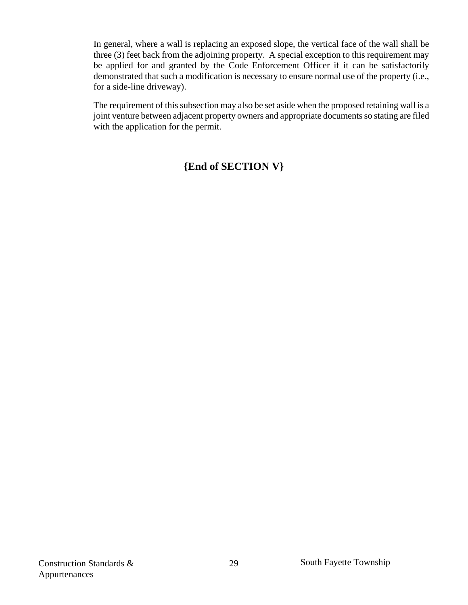In general, where a wall is replacing an exposed slope, the vertical face of the wall shall be three (3) feet back from the adjoining property. A special exception to this requirement may be applied for and granted by the Code Enforcement Officer if it can be satisfactorily demonstrated that such a modification is necessary to ensure normal use of the property (i.e., for a side-line driveway).

The requirement of this subsection may also be set aside when the proposed retaining wall is a joint venture between adjacent property owners and appropriate documents so stating are filed with the application for the permit.

#### **{End of SECTION V}**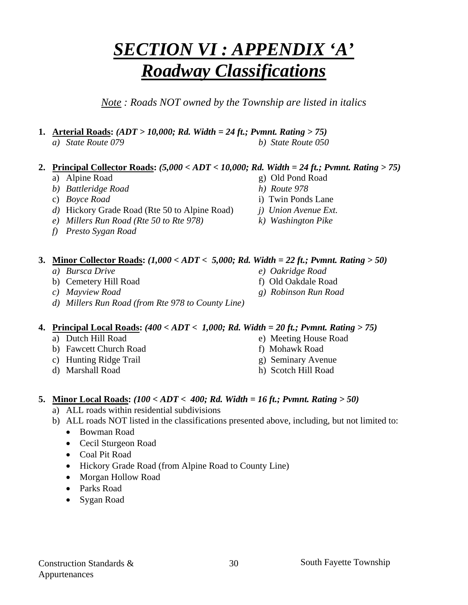#### Construction Standards & Appurtenances

## *SECTION VI : APPENDIX 'A' Roadway Classifications*

*Note : Roads NOT owned by the Township are listed in italics* 

- **1. Arterial Roads:** *(ADT > 10,000; Rd. Width = 24 ft.; Pvmnt. Rating > 75)*
	- *a) State Route 079 b) State Route 050*

#### **2. Principal Collector Roads:** *(5,000 < ADT < 10,000; Rd. Width = 24 ft.; Pvmnt. Rating > 75)*

- a) Alpine Road g) Old Pond Road
- *b) Battleridge Road h) Route 978*
- c) *Boyce Road* i) Twin Ponds Lane
- *d)* Hickory Grade Road (Rte 50 to Alpine Road) *j) Union Avenue Ext.*
- *e) Millers Run Road (Rte 50 to Rte 978) k) Washington Pike*
- *f) Presto Sygan Road*
- **3. Minor Collector Roads:** *(1,000 < ADT < 5,000; Rd. Width = 22 ft.; Pvmnt. Rating > 50) a) Bursca Drive e) Oakridge Road* 
	- b) Cemetery Hill Road f) Old Oakdale Road
	- *c) Mayview Road g) Robinson Run Road*
	- *d) Millers Run Road (from Rte 978 to County Line)*

#### **4. Principal Local Roads:** *(400 < ADT < 1,000; Rd. Width = 20 ft.; Pvmnt. Rating > 75)*

- 
- b) Fawcett Church Road f) Mohawk Road
- c) Hunting Ridge Trail g) Seminary Avenue
- d) Marshall Road h) Scotch Hill Road
- a) Dutch Hill Road e) Meeting House Road
	-
	-
	-

#### **5. Minor Local Roads:** *(100 < ADT < 400; Rd. Width = 16 ft.; Pvmnt. Rating > 50)*

a) ALL roads within residential subdivisions

#### b) ALL roads NOT listed in the classifications presented above, including, but not limited to:

30

- Bowman Road
- Cecil Sturgeon Road
- Coal Pit Road
- Hickory Grade Road (from Alpine Road to County Line)
- Morgan Hollow Road
- Parks Road
- Sygan Road
- 
- -
	-
	-

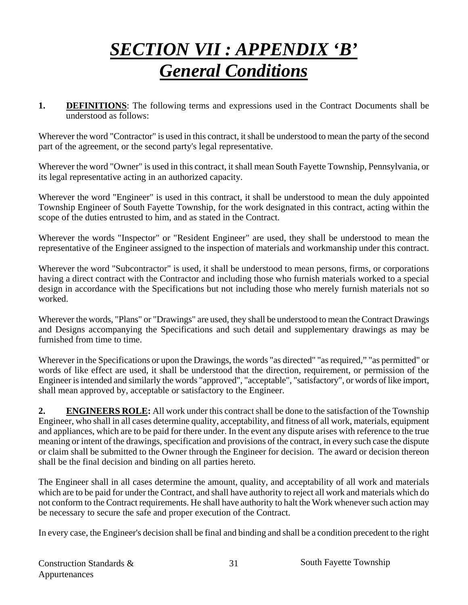## *SECTION VII : APPENDIX 'B' General Conditions*

**1. DEFINITIONS**: The following terms and expressions used in the Contract Documents shall be understood as follows:

Wherever the word "Contractor" is used in this contract, it shall be understood to mean the party of the second part of the agreement, or the second party's legal representative.

Wherever the word "Owner" is used in this contract, it shall mean South Fayette Township, Pennsylvania, or its legal representative acting in an authorized capacity.

Wherever the word "Engineer" is used in this contract, it shall be understood to mean the duly appointed Township Engineer of South Fayette Township, for the work designated in this contract, acting within the scope of the duties entrusted to him, and as stated in the Contract.

Wherever the words "Inspector" or "Resident Engineer" are used, they shall be understood to mean the representative of the Engineer assigned to the inspection of materials and workmanship under this contract.

Wherever the word "Subcontractor" is used, it shall be understood to mean persons, firms, or corporations having a direct contract with the Contractor and including those who furnish materials worked to a special design in accordance with the Specifications but not including those who merely furnish materials not so worked.

Wherever the words, "Plans" or "Drawings" are used, they shall be understood to mean the Contract Drawings and Designs accompanying the Specifications and such detail and supplementary drawings as may be furnished from time to time.

Wherever in the Specifications or upon the Drawings, the words "as directed" "as required," "as permitted" or words of like effect are used, it shall be understood that the direction, requirement, or permission of the Engineer is intended and similarly the words "approved", "acceptable", "satisfactory", or words of like import, shall mean approved by, acceptable or satisfactory to the Engineer.

**2. ENGINEERS ROLE:** All work under this contract shall be done to the satisfaction of the Township Engineer, who shall in all cases determine quality, acceptability, and fitness of all work, materials, equipment and appliances, which are to be paid for there under. In the event any dispute arises with reference to the true meaning or intent of the drawings, specification and provisions of the contract, in every such case the dispute or claim shall be submitted to the Owner through the Engineer for decision. The award or decision thereon shall be the final decision and binding on all parties hereto.

The Engineer shall in all cases determine the amount, quality, and acceptability of all work and materials which are to be paid for under the Contract, and shall have authority to reject all work and materials which do not conform to the Contract requirements. He shall have authority to halt the Work whenever such action may be necessary to secure the safe and proper execution of the Contract.

In every case, the Engineer's decision shall be final and binding and shall be a condition precedent to the right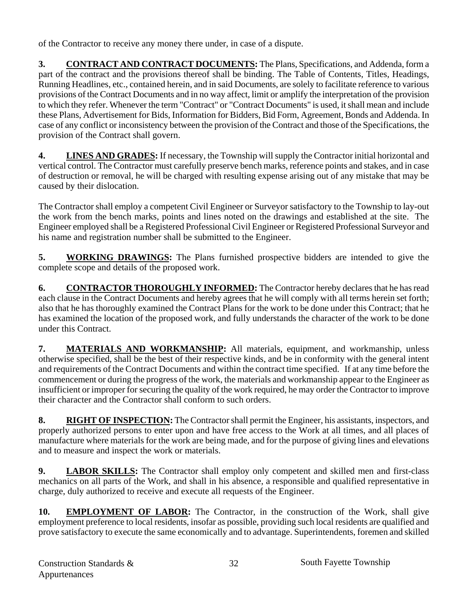of the Contractor to receive any money there under, in case of a dispute.

**3. CONTRACT AND CONTRACT DOCUMENTS:** The Plans, Specifications, and Addenda, form a part of the contract and the provisions thereof shall be binding. The Table of Contents, Titles, Headings, Running Headlines, etc., contained herein, and in said Documents, are solely to facilitate reference to various provisions of the Contract Documents and in no way affect, limit or amplify the interpretation of the provision to which they refer. Whenever the term "Contract" or "Contract Documents" is used, it shall mean and include these Plans, Advertisement for Bids, Information for Bidders, Bid Form, Agreement, Bonds and Addenda. In case of any conflict or inconsistency between the provision of the Contract and those of the Specifications, the provision of the Contract shall govern.

**4. LINES AND GRADES:** If necessary, the Township will supply the Contractor initial horizontal and vertical control. The Contractor must carefully preserve bench marks, reference points and stakes, and in case of destruction or removal, he will be charged with resulting expense arising out of any mistake that may be caused by their dislocation.

The Contractor shall employ a competent Civil Engineer or Surveyor satisfactory to the Township to lay-out the work from the bench marks, points and lines noted on the drawings and established at the site. The Engineer employed shall be a Registered Professional Civil Engineer or Registered Professional Surveyor and his name and registration number shall be submitted to the Engineer.

**5.****WORKING DRAWINGS:** The Plans furnished prospective bidders are intended to give the complete scope and details of the proposed work.

**6. CONTRACTOR THOROUGHLY INFORMED:** The Contractor hereby declares that he has read each clause in the Contract Documents and hereby agrees that he will comply with all terms herein set forth; also that he has thoroughly examined the Contract Plans for the work to be done under this Contract; that he has examined the location of the proposed work, and fully understands the character of the work to be done under this Contract.

**7. MATERIALS AND WORKMANSHIP:** All materials, equipment, and workmanship, unless otherwise specified, shall be the best of their respective kinds, and be in conformity with the general intent and requirements of the Contract Documents and within the contract time specified. If at any time before the commencement or during the progress of the work, the materials and workmanship appear to the Engineer as insufficient or improper for securing the quality of the work required, he may order the Contractor to improve their character and the Contractor shall conform to such orders.

8. RIGHT OF INSPECTION: The Contractor shall permit the Engineer, his assistants, inspectors, and properly authorized persons to enter upon and have free access to the Work at all times, and all places of manufacture where materials for the work are being made, and for the purpose of giving lines and elevations and to measure and inspect the work or materials.

**9. LABOR SKILLS:** The Contractor shall employ only competent and skilled men and first-class mechanics on all parts of the Work, and shall in his absence, a responsible and qualified representative in charge, duly authorized to receive and execute all requests of the Engineer.

**10. EMPLOYMENT OF LABOR:** The Contractor, in the construction of the Work, shall give employment preference to local residents, insofar as possible, providing such local residents are qualified and prove satisfactory to execute the same economically and to advantage. Superintendents, foremen and skilled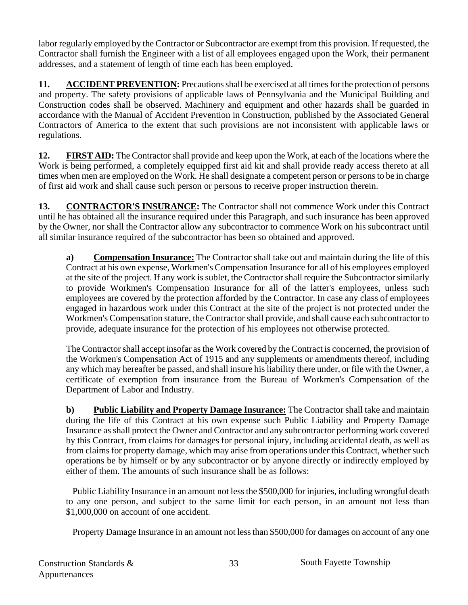labor regularly employed by the Contractor or Subcontractor are exempt from this provision. If requested, the Contractor shall furnish the Engineer with a list of all employees engaged upon the Work, their permanent addresses, and a statement of length of time each has been employed.

**11. ACCIDENT PREVENTION:** Precautions shall be exercised at all times for the protection of persons and property. The safety provisions of applicable laws of Pennsylvania and the Municipal Building and Construction codes shall be observed. Machinery and equipment and other hazards shall be guarded in accordance with the Manual of Accident Prevention in Construction, published by the Associated General Contractors of America to the extent that such provisions are not inconsistent with applicable laws or regulations.

**12. FIRST AID:** The Contractor shall provide and keep upon the Work, at each of the locations where the Work is being performed, a completely equipped first aid kit and shall provide ready access thereto at all times when men are employed on the Work. He shall designate a competent person or persons to be in charge of first aid work and shall cause such person or persons to receive proper instruction therein.

**13. CONTRACTOR'S INSURANCE:** The Contractor shall not commence Work under this Contract until he has obtained all the insurance required under this Paragraph, and such insurance has been approved by the Owner, nor shall the Contractor allow any subcontractor to commence Work on his subcontract until all similar insurance required of the subcontractor has been so obtained and approved.

**a) Compensation Insurance:** The Contractor shall take out and maintain during the life of this Contract at his own expense, Workmen's Compensation Insurance for all of his employees employed at the site of the project. If any work is sublet, the Contractor shall require the Subcontractor similarly to provide Workmen's Compensation Insurance for all of the latter's employees, unless such employees are covered by the protection afforded by the Contractor. In case any class of employees engaged in hazardous work under this Contract at the site of the project is not protected under the Workmen's Compensation stature, the Contractor shall provide, and shall cause each subcontractor to provide, adequate insurance for the protection of his employees not otherwise protected.

 The Contractor shall accept insofar as the Work covered by the Contract is concerned, the provision of the Workmen's Compensation Act of 1915 and any supplements or amendments thereof, including any which may hereafter be passed, and shall insure his liability there under, or file with the Owner, a certificate of exemption from insurance from the Bureau of Workmen's Compensation of the Department of Labor and Industry.

**b) Public Liability and Property Damage Insurance:** The Contractor shall take and maintain during the life of this Contract at his own expense such Public Liability and Property Damage Insurance as shall protect the Owner and Contractor and any subcontractor performing work covered by this Contract, from claims for damages for personal injury, including accidental death, as well as from claims for property damage, which may arise from operations under this Contract, whether such operations be by himself or by any subcontractor or by anyone directly or indirectly employed by either of them. The amounts of such insurance shall be as follows:

 Public Liability Insurance in an amount not less the \$500,000 for injuries, including wrongful death to any one person, and subject to the same limit for each person, in an amount not less than \$1,000,000 on account of one accident.

Property Damage Insurance in an amount not less than \$500,000 for damages on account of any one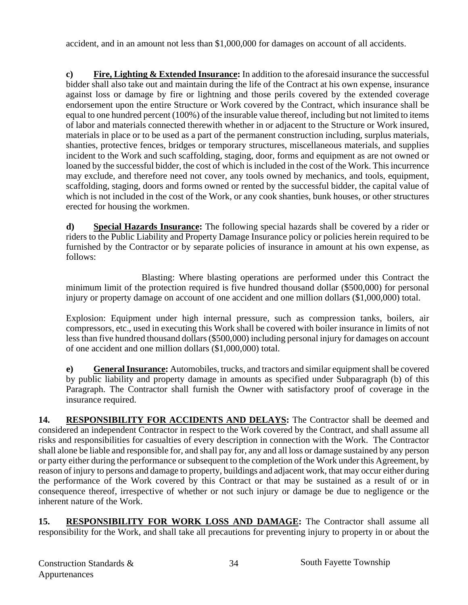accident, and in an amount not less than \$1,000,000 for damages on account of all accidents.

**c) Fire, Lighting & Extended Insurance:** In addition to the aforesaid insurance the successful bidder shall also take out and maintain during the life of the Contract at his own expense, insurance against loss or damage by fire or lightning and those perils covered by the extended coverage endorsement upon the entire Structure or Work covered by the Contract, which insurance shall be equal to one hundred percent (100%) of the insurable value thereof, including but not limited to items of labor and materials connected therewith whether in or adjacent to the Structure or Work insured, materials in place or to be used as a part of the permanent construction including, surplus materials, shanties, protective fences, bridges or temporary structures, miscellaneous materials, and supplies incident to the Work and such scaffolding, staging, door, forms and equipment as are not owned or loaned by the successful bidder, the cost of which is included in the cost of the Work. This incurrence may exclude, and therefore need not cover, any tools owned by mechanics, and tools, equipment, scaffolding, staging, doors and forms owned or rented by the successful bidder, the capital value of which is not included in the cost of the Work, or any cook shanties, bunk houses, or other structures erected for housing the workmen.

**d) Special Hazards Insurance:** The following special hazards shall be covered by a rider or riders to the Public Liability and Property Damage Insurance policy or policies herein required to be furnished by the Contractor or by separate policies of insurance in amount at his own expense, as follows:

 Blasting: Where blasting operations are performed under this Contract the minimum limit of the protection required is five hundred thousand dollar (\$500,000) for personal injury or property damage on account of one accident and one million dollars (\$1,000,000) total.

 Explosion: Equipment under high internal pressure, such as compression tanks, boilers, air compressors, etc., used in executing this Work shall be covered with boiler insurance in limits of not less than five hundred thousand dollars (\$500,000) including personal injury for damages on account of one accident and one million dollars (\$1,000,000) total.

**e) General Insurance:** Automobiles, trucks, and tractors and similar equipment shall be covered by public liability and property damage in amounts as specified under Subparagraph (b) of this Paragraph. The Contractor shall furnish the Owner with satisfactory proof of coverage in the insurance required.

14. RESPONSIBILITY FOR ACCIDENTS AND DELAYS: The Contractor shall be deemed and considered an independent Contractor in respect to the Work covered by the Contract, and shall assume all risks and responsibilities for casualties of every description in connection with the Work. The Contractor shall alone be liable and responsible for, and shall pay for, any and all loss or damage sustained by any person or party either during the performance or subsequent to the completion of the Work under this Agreement, by reason of injury to persons and damage to property, buildings and adjacent work, that may occur either during the performance of the Work covered by this Contract or that may be sustained as a result of or in consequence thereof, irrespective of whether or not such injury or damage be due to negligence or the inherent nature of the Work.

**15. RESPONSIBILITY FOR WORK LOSS AND DAMAGE:** The Contractor shall assume all responsibility for the Work, and shall take all precautions for preventing injury to property in or about the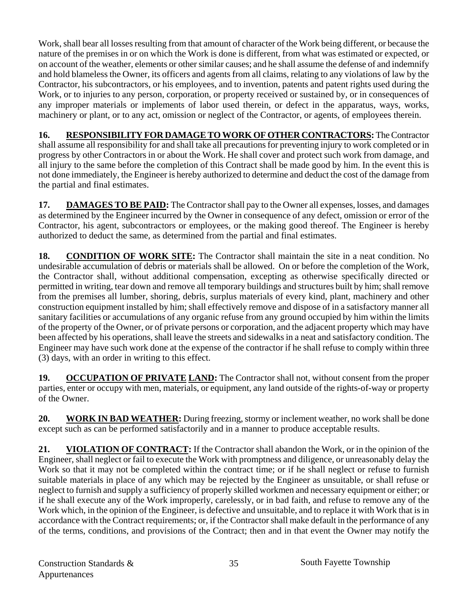Work, shall bear all losses resulting from that amount of character of the Work being different, or because the nature of the premises in or on which the Work is done is different, from what was estimated or expected, or on account of the weather, elements or other similar causes; and he shall assume the defense of and indemnify and hold blameless the Owner, its officers and agents from all claims, relating to any violations of law by the Contractor, his subcontractors, or his employees, and to invention, patents and patent rights used during the Work, or to injuries to any person, corporation, or property received or sustained by, or in consequences of any improper materials or implements of labor used therein, or defect in the apparatus, ways, works, machinery or plant, or to any act, omission or neglect of the Contractor, or agents, of employees therein.

**16. RESPONSIBILITY FOR DAMAGE TO WORK OF OTHER CONTRACTORS:** The Contractor shall assume all responsibility for and shall take all precautions for preventing injury to work completed or in progress by other Contractors in or about the Work. He shall cover and protect such work from damage, and all injury to the same before the completion of this Contract shall be made good by him. In the event this is not done immediately, the Engineer is hereby authorized to determine and deduct the cost of the damage from the partial and final estimates.

17. DAMAGES TO BE PAID: The Contractor shall pay to the Owner all expenses, losses, and damages as determined by the Engineer incurred by the Owner in consequence of any defect, omission or error of the Contractor, his agent, subcontractors or employees, or the making good thereof. The Engineer is hereby authorized to deduct the same, as determined from the partial and final estimates.

**18. CONDITION OF WORK SITE:** The Contractor shall maintain the site in a neat condition. No undesirable accumulation of debris or materials shall be allowed. On or before the completion of the Work, the Contractor shall, without additional compensation, excepting as otherwise specifically directed or permitted in writing, tear down and remove all temporary buildings and structures built by him; shall remove from the premises all lumber, shoring, debris, surplus materials of every kind, plant, machinery and other construction equipment installed by him; shall effectively remove and dispose of in a satisfactory manner all sanitary facilities or accumulations of any organic refuse from any ground occupied by him within the limits of the property of the Owner, or of private persons or corporation, and the adjacent property which may have been affected by his operations, shall leave the streets and sidewalks in a neat and satisfactory condition. The Engineer may have such work done at the expense of the contractor if he shall refuse to comply within three (3) days, with an order in writing to this effect.

19. OCCUPATION OF PRIVATE LAND: The Contractor shall not, without consent from the proper parties, enter or occupy with men, materials, or equipment, any land outside of the rights-of-way or property of the Owner.

**20. WORK IN BAD WEATHER:** During freezing, stormy or inclement weather, no work shall be done except such as can be performed satisfactorily and in a manner to produce acceptable results.

**21. VIOLATION OF CONTRACT:** If the Contractor shall abandon the Work, or in the opinion of the Engineer, shall neglect or fail to execute the Work with promptness and diligence, or unreasonably delay the Work so that it may not be completed within the contract time; or if he shall neglect or refuse to furnish suitable materials in place of any which may be rejected by the Engineer as unsuitable, or shall refuse or neglect to furnish and supply a sufficiency of properly skilled workmen and necessary equipment or either; or if he shall execute any of the Work improperly, carelessly, or in bad faith, and refuse to remove any of the Work which, in the opinion of the Engineer, is defective and unsuitable, and to replace it with Work that is in accordance with the Contract requirements; or, if the Contractor shall make default in the performance of any of the terms, conditions, and provisions of the Contract; then and in that event the Owner may notify the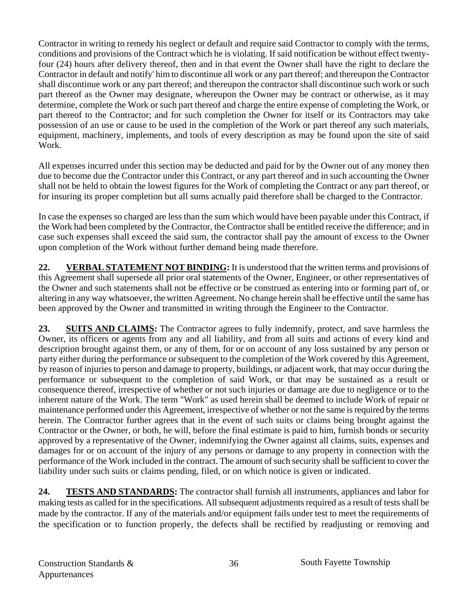Contractor in writing to remedy his neglect or default and require said Contractor to comply with the terms, conditions and provisions of the Contract which he is violating. If said notification be without effect twentyfour (24) hours after delivery thereof, then and in that event the Owner shall have the right to declare the Contractor in default and notify' him to discontinue all work or any part thereof; and thereupon the Contractor shall discontinue work or any part thereof; and thereupon the contractor shall discontinue such work or such part thereof as the Owner may designate, whereupon the Owner may be contract or otherwise, as it may determine, complete the Work or such part thereof and charge the entire expense of completing the Work, or part thereof to the Contractor; and for such completion the Owner for itself or its Contractors may take possession of an use or cause to be used in the completion of the Work or part thereof any such materials, equipment, machinery, implements, and tools of every description as may be found upon the site of said Work.

All expenses incurred under this section may be deducted and paid for by the Owner out of any money then due to become due the Contractor under this Contract, or any part thereof and in such accounting the Owner shall not be held to obtain the lowest figures for the Work of completing the Contract or any part thereof, or for insuring its proper completion but all sums actually paid therefore shall be charged to the Contractor.

In case the expenses so charged are less than the sum which would have been payable under this Contract, if the Work had been completed by the Contractor, the Contractor shall be entitled receive the difference; and in case such expenses shall exceed the said sum, the contractor shall pay the amount of excess to the Owner upon completion of the Work without further demand being made therefore.

**22. VERBAL STATEMENT NOT BINDING:** It is understood that the written terms and provisions of this Agreement shall supersede all prior oral statements of the Owner, Engineer, or other representatives of the Owner and such statements shall not be effective or be construed as entering into or forming part of, or altering in any way whatsoever, the written Agreement. No change herein shall be effective until the same has been approved by the Owner and transmitted in writing through the Engineer to the Contractor.

**23. SUITS AND CLAIMS:** The Contractor agrees to fully indemnify, protect, and save harmless the Owner, its officers or agents from any and all liability, and from all suits and actions of every kind and description brought against them, or any of them, for or on account of any loss sustained by any person or party either during the performance or subsequent to the completion of the Work covered by this Agreement, by reason of injuries to person and damage to property, buildings, or adjacent work, that may occur during the performance or subsequent to the completion of said Work, or that may be sustained as a result or consequence thereof, irrespective of whether or not such injuries or damage are due to negligence or to the inherent nature of the Work. The term "Work" as used herein shall be deemed to include Work of repair or maintenance performed under this Agreement, irrespective of whether or not the same is required by the terms herein. The Contractor further agrees that in the event of such suits or claims being brought against the Contractor or the Owner, or both, he will, before the final estimate is paid to him, furnish bonds or security approved by a representative of the Owner, indemnifying the Owner against all claims, suits, expenses and damages for or on account of the injury of any persons or damage to any property in connection with the performance of the Work included in the contract. The amount of such security shall be sufficient to cover the liability under such suits or claims pending, filed, or on which notice is given or indicated.

**24. TESTS AND STANDARDS:** The contractor shall furnish all instruments, appliances and labor for making tests as called for in the specifications. All subsequent adjustments required as a result of tests shall be made by the contractor. If any of the materials and/or equipment fails under test to meet the requirements of the specification or to function properly, the defects shall be rectified by readjusting or removing and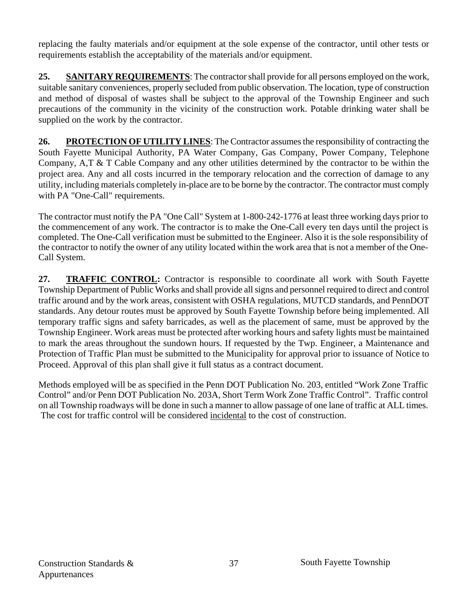replacing the faulty materials and/or equipment at the sole expense of the contractor, until other tests or requirements establish the acceptability of the materials and/or equipment.

**25. SANITARY REQUIREMENTS**: The contractor shall provide for all persons employed on the work, suitable sanitary conveniences, properly secluded from public observation. The location, type of construction and method of disposal of wastes shall be subject to the approval of the Township Engineer and such precautions of the community in the vicinity of the construction work. Potable drinking water shall be supplied on the work by the contractor.

**26. PROTECTION OF UTILITY LINES**: The Contractor assumes the responsibility of contracting the South Fayette Municipal Authority, PA Water Company, Gas Company, Power Company, Telephone Company, A,T & T Cable Company and any other utilities determined by the contractor to be within the project area. Any and all costs incurred in the temporary relocation and the correction of damage to any utility, including materials completely in-place are to be borne by the contractor. The contractor must comply with PA "One-Call" requirements.

The contractor must notify the PA "One Call" System at 1-800-242-1776 at least three working days prior to the commencement of any work. The contractor is to make the One-Call every ten days until the project is completed. The One-Call verification must be submitted to the Engineer. Also it is the sole responsibility of the contractor to notify the owner of any utility located within the work area that is not a member of the One-Call System.

**27. TRAFFIC CONTROL:** Contractor is responsible to coordinate all work with South Fayette Township Department of Public Works and shall provide all signs and personnel required to direct and control traffic around and by the work areas, consistent with OSHA regulations, MUTCD standards, and PennDOT standards. Any detour routes must be approved by South Fayette Township before being implemented. All temporary traffic signs and safety barricades, as well as the placement of same, must be approved by the Township Engineer. Work areas must be protected after working hours and safety lights must be maintained to mark the areas throughout the sundown hours. If requested by the Twp. Engineer, a Maintenance and Protection of Traffic Plan must be submitted to the Municipality for approval prior to issuance of Notice to Proceed. Approval of this plan shall give it full status as a contract document.

Methods employed will be as specified in the Penn DOT Publication No. 203, entitled "Work Zone Traffic Control" and/or Penn DOT Publication No. 203A, Short Term Work Zone Traffic Control".Traffic control on all Township roadways will be done in such a manner to allow passage of one lane of traffic at ALL times. The cost for traffic control will be considered incidental to the cost of construction.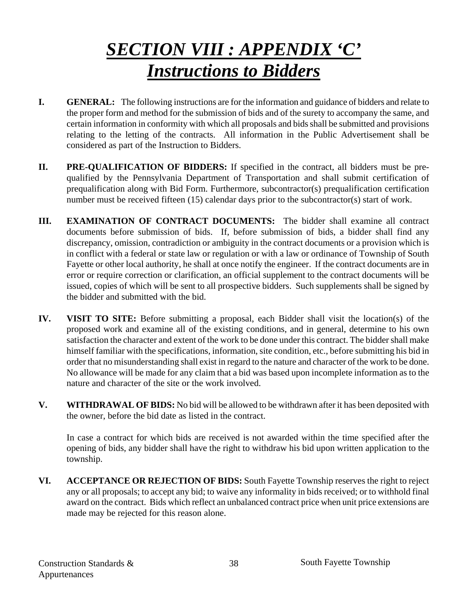## *SECTION VIII : APPENDIX 'C' Instructions to Bidders*

- **I. GENERAL:** The following instructions are for the information and guidance of bidders and relate to the proper form and method for the submission of bids and of the surety to accompany the same, and certain information in conformity with which all proposals and bids shall be submitted and provisions relating to the letting of the contracts. All information in the Public Advertisement shall be considered as part of the Instruction to Bidders.
- **II. PRE-QUALIFICATION OF BIDDERS:** If specified in the contract, all bidders must be prequalified by the Pennsylvania Department of Transportation and shall submit certification of prequalification along with Bid Form. Furthermore, subcontractor(s) prequalification certification number must be received fifteen (15) calendar days prior to the subcontractor(s) start of work.
- **III. EXAMINATION OF CONTRACT DOCUMENTS:** The bidder shall examine all contract documents before submission of bids. If, before submission of bids, a bidder shall find any discrepancy, omission, contradiction or ambiguity in the contract documents or a provision which is in conflict with a federal or state law or regulation or with a law or ordinance of Township of South Fayette or other local authority, he shall at once notify the engineer. If the contract documents are in error or require correction or clarification, an official supplement to the contract documents will be issued, copies of which will be sent to all prospective bidders. Such supplements shall be signed by the bidder and submitted with the bid.
- **IV. VISIT TO SITE:** Before submitting a proposal, each Bidder shall visit the location(s) of the proposed work and examine all of the existing conditions, and in general, determine to his own satisfaction the character and extent of the work to be done under this contract. The bidder shall make himself familiar with the specifications, information, site condition, etc., before submitting his bid in order that no misunderstanding shall exist in regard to the nature and character of the work to be done. No allowance will be made for any claim that a bid was based upon incomplete information as to the nature and character of the site or the work involved.
- **V. WITHDRAWAL OF BIDS:** No bid will be allowed to be withdrawn after it has been deposited with the owner, before the bid date as listed in the contract.

 In case a contract for which bids are received is not awarded within the time specified after the opening of bids, any bidder shall have the right to withdraw his bid upon written application to the township.

**VI. ACCEPTANCE OR REJECTION OF BIDS:** South Fayette Township reserves the right to reject any or all proposals; to accept any bid; to waive any informality in bids received; or to withhold final award on the contract. Bids which reflect an unbalanced contract price when unit price extensions are made may be rejected for this reason alone.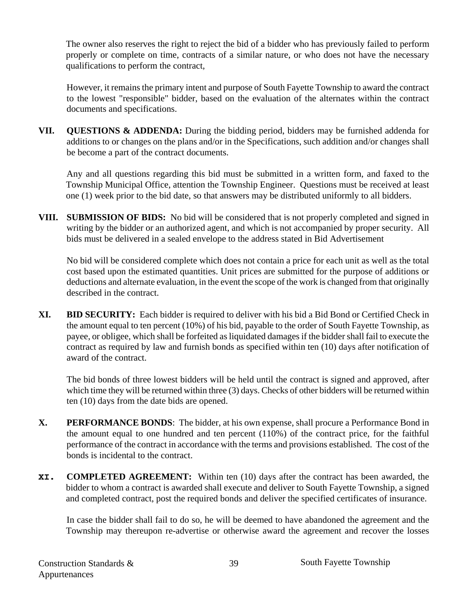The owner also reserves the right to reject the bid of a bidder who has previously failed to perform properly or complete on time, contracts of a similar nature, or who does not have the necessary qualifications to perform the contract,

However, it remains the primary intent and purpose of South Fayette Township to award the contract to the lowest "responsible" bidder, based on the evaluation of the alternates within the contract documents and specifications.

**VII. QUESTIONS & ADDENDA:** During the bidding period, bidders may be furnished addenda for additions to or changes on the plans and/or in the Specifications, such addition and/or changes shall be become a part of the contract documents.

 Any and all questions regarding this bid must be submitted in a written form, and faxed to the Township Municipal Office, attention the Township Engineer. Questions must be received at least one (1) week prior to the bid date, so that answers may be distributed uniformly to all bidders.

**VIII. SUBMISSION OF BIDS:** No bid will be considered that is not properly completed and signed in writing by the bidder or an authorized agent, and which is not accompanied by proper security. All bids must be delivered in a sealed envelope to the address stated in Bid Advertisement

 No bid will be considered complete which does not contain a price for each unit as well as the total cost based upon the estimated quantities. Unit prices are submitted for the purpose of additions or deductions and alternate evaluation, in the event the scope of the work is changed from that originally described in the contract.

**XI. BID SECURITY:** Each bidder is required to deliver with his bid a Bid Bond or Certified Check in the amount equal to ten percent (10%) of his bid, payable to the order of South Fayette Township, as payee, or obligee, which shall be forfeited as liquidated damages if the bidder shall fail to execute the contract as required by law and furnish bonds as specified within ten (10) days after notification of award of the contract.

The bid bonds of three lowest bidders will be held until the contract is signed and approved, after which time they will be returned within three (3) days. Checks of other bidders will be returned within ten (10) days from the date bids are opened.

- **X. PERFORMANCE BONDS**: The bidder, at his own expense, shall procure a Performance Bond in the amount equal to one hundred and ten percent (110%) of the contract price, for the faithful performance of the contract in accordance with the terms and provisions established. The cost of the bonds is incidental to the contract.
- **XI. COMPLETED AGREEMENT:** Within ten (10) days after the contract has been awarded, the bidder to whom a contract is awarded shall execute and deliver to South Fayette Township, a signed and completed contract, post the required bonds and deliver the specified certificates of insurance.

 In case the bidder shall fail to do so, he will be deemed to have abandoned the agreement and the Township may thereupon re-advertise or otherwise award the agreement and recover the losses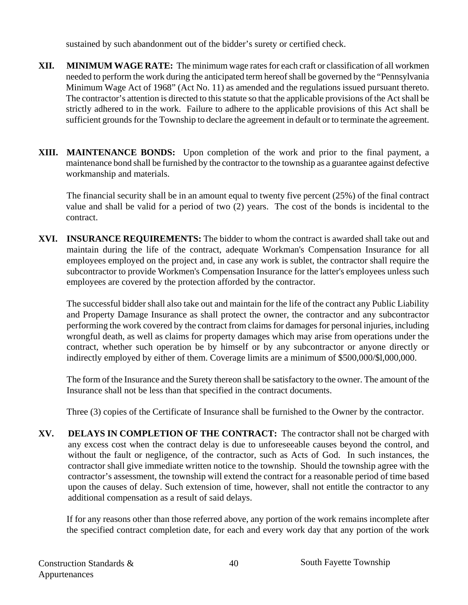sustained by such abandonment out of the bidder's surety or certified check.

- **XII. MINIMUM WAGE RATE:** The minimum wage rates for each craft or classification of all workmen needed to perform the work during the anticipated term hereof shall be governed by the "Pennsylvania Minimum Wage Act of 1968" (Act No. 11) as amended and the regulations issued pursuant thereto. The contractor's attention is directed to this statute so that the applicable provisions of the Act shall be strictly adhered to in the work. Failure to adhere to the applicable provisions of this Act shall be sufficient grounds for the Township to declare the agreement in default or to terminate the agreement.
- **XIII. MAINTENANCE BONDS:** Upon completion of the work and prior to the final payment, a maintenance bond shall be furnished by the contractor to the township as a guarantee against defective workmanship and materials.

 The financial security shall be in an amount equal to twenty five percent (25%) of the final contract value and shall be valid for a period of two (2) years. The cost of the bonds is incidental to the contract.

**XVI. INSURANCE REQUIREMENTS:** The bidder to whom the contract is awarded shall take out and maintain during the life of the contract, adequate Workman's Compensation Insurance for all employees employed on the project and, in case any work is sublet, the contractor shall require the subcontractor to provide Workmen's Compensation Insurance for the latter's employees unless such employees are covered by the protection afforded by the contractor.

The successful bidder shall also take out and maintain for the life of the contract any Public Liability and Property Damage Insurance as shall protect the owner, the contractor and any subcontractor performing the work covered by the contract from claims for damages for personal injuries, including wrongful death, as well as claims for property damages which may arise from operations under the contract, whether such operation be by himself or by any subcontractor or anyone directly or indirectly employed by either of them. Coverage limits are a minimum of \$500,000/\$l,000,000.

The form of the Insurance and the Surety thereon shall be satisfactory to the owner. The amount of the Insurance shall not be less than that specified in the contract documents.

Three (3) copies of the Certificate of Insurance shall be furnished to the Owner by the contractor.

**XV. DELAYS IN COMPLETION OF THE CONTRACT:** The contractor shall not be charged with any excess cost when the contract delay is due to unforeseeable causes beyond the control, and without the fault or negligence, of the contractor, such as Acts of God. In such instances, the contractor shall give immediate written notice to the township. Should the township agree with the contractor's assessment, the township will extend the contract for a reasonable period of time based upon the causes of delay. Such extension of time, however, shall not entitle the contractor to any additional compensation as a result of said delays.

If for any reasons other than those referred above, any portion of the work remains incomplete after the specified contract completion date, for each and every work day that any portion of the work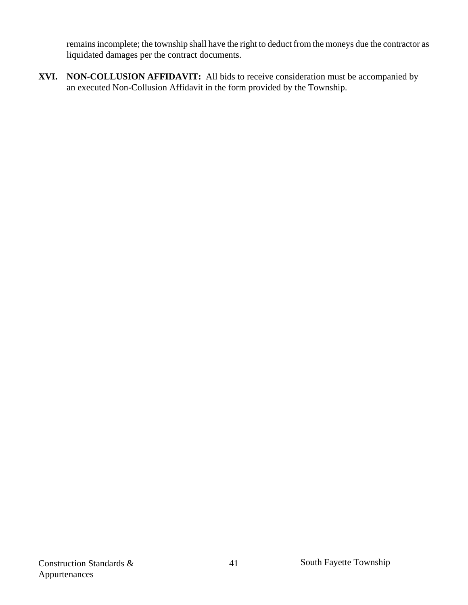remains incomplete; the township shall have the right to deduct from the moneys due the contractor as liquidated damages per the contract documents.

**XVI. NON-COLLUSION AFFIDAVIT:** All bids to receive consideration must be accompanied by an executed Non-Collusion Affidavit in the form provided by the Township.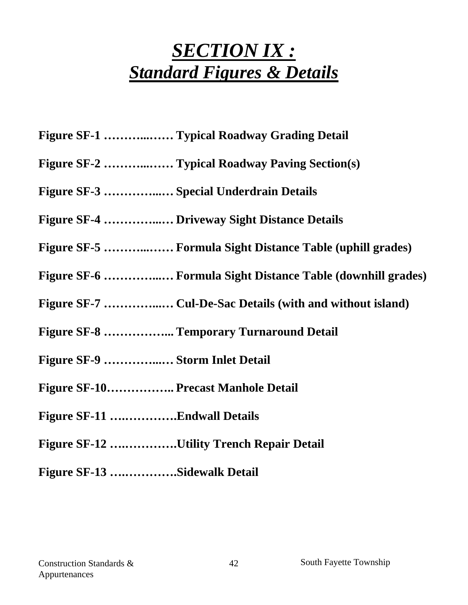## *SECTION IX : Standard Figures & Details*

- **Figure SF-1 ………...…… Typical Roadway Grading Detail**
- **Figure SF-2 ………...…… Typical Roadway Paving Section(s)**
- **Figure SF-3 …………...… Special Underdrain Details**
- **Figure SF-4 …………...… Driveway Sight Distance Details**
- **Figure SF-5 ………...…… Formula Sight Distance Table (uphill grades)**
- **Figure SF-6 …………...… Formula Sight Distance Table (downhill grades)**
- **Figure SF-7 …………...… Cul-De-Sac Details (with and without island)**
- **Figure SF-8 ……………... Temporary Turnaround Detail**
- **Figure SF-9 …………...… Storm Inlet Detail**
- **Figure SF-10…………….. Precast Manhole Detail**
- **Figure SF-11 ….………….Endwall Details**
- **Figure SF-12 ….………….Utility Trench Repair Detail**
- **Figure SF-13 ….………….Sidewalk Detail**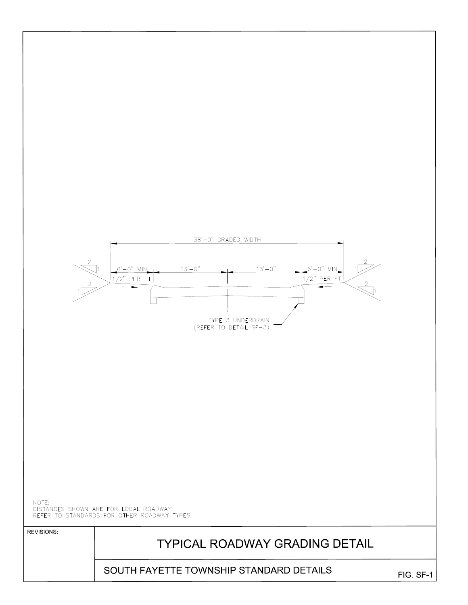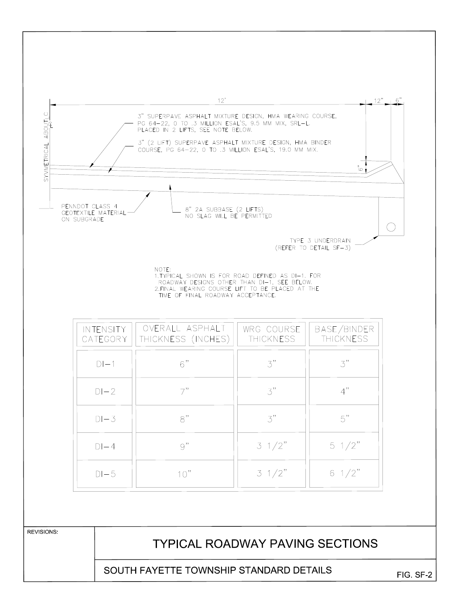SOUTH FAYETTE TOWNSHIP STANDARD DETAILS

FIG SF-2

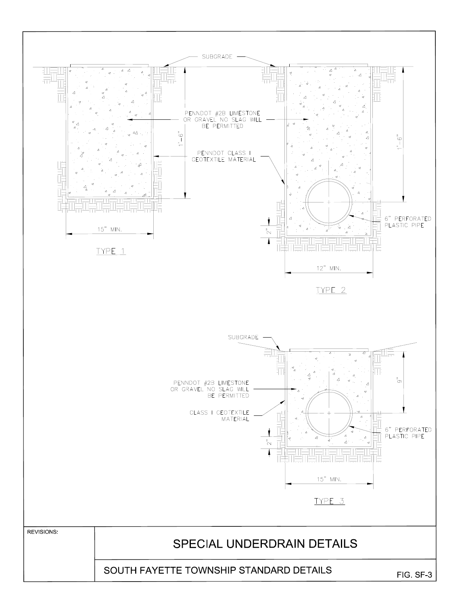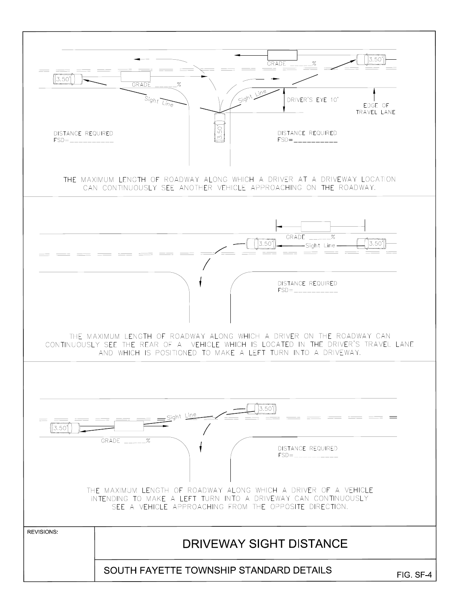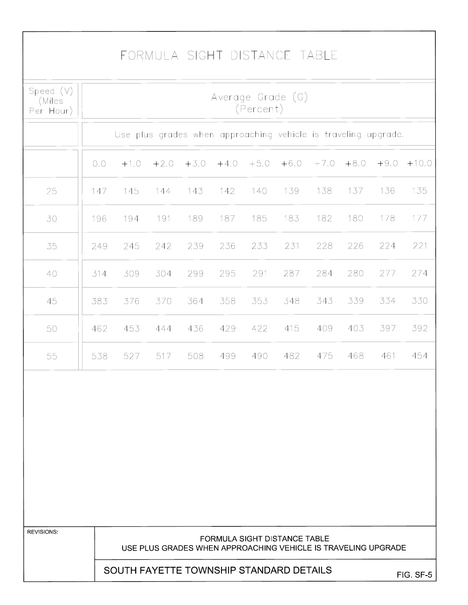## FORMULA SIGHT DISTANCE TABLE

| Speed $(V)$<br>(Miles<br>Per Hour) | Average Grade (G)<br>(Percent) |                                                                |        |        |        |        |                                                                                                      |        |        |        |          |
|------------------------------------|--------------------------------|----------------------------------------------------------------|--------|--------|--------|--------|------------------------------------------------------------------------------------------------------|--------|--------|--------|----------|
|                                    |                                | Use plus grades when approaching vehicle is traveling upgrade. |        |        |        |        |                                                                                                      |        |        |        |          |
|                                    | 0.0                            | $+1.0$                                                         | $+2.0$ | $+3.0$ | $+4.0$ | $+5.0$ | $+6.0$                                                                                               | $+7.0$ | $+8.0$ | $+9.0$ | $+10.0$  |
| 25                                 | 147                            | 145                                                            | 144    | 143    | 142    | 140    | 139                                                                                                  | 138    | 137    | 136    | 135      |
| 30                                 | 196                            | 194                                                            | 191    | 189    | 187    | 185    | 183                                                                                                  | 182    | 180    | 178    | 177      |
| 35                                 | 249                            | 245                                                            | 242    | 239    | 236    | 233    | 231                                                                                                  | 228    | 226    | 224    | 221      |
| 40                                 | 314                            | 309                                                            | 304    | 299    | 295    | 291    | 287                                                                                                  | 284    | 280    | 277    | 274      |
| 45                                 | 383                            | 376                                                            | 370    | 364    | 358    | 353    | 348                                                                                                  | 343    | 339    | 334    | 330      |
| 50                                 | 462                            | 453                                                            | 444    | 436    | 429    | 422    | 415                                                                                                  | 409    | 403    | 397    | 392      |
| 55                                 | 538                            | 527                                                            | 517    | 508    | 499    | 490    | 482                                                                                                  | 475    | 468    | 461    | 454      |
|                                    |                                |                                                                |        |        |        |        |                                                                                                      |        |        |        |          |
| <b>REVISIONS</b>                   |                                |                                                                |        |        |        |        | <b>FORMULA SIGHT DISTANCE TABLE</b><br>USE PLUS GRADES WHEN APPROACHING VEHICLE IS TRAVELING UPGRADE |        |        |        |          |
|                                    |                                | SOUTH FAYETTE TOWNSHIP STANDARD DETAILS                        |        |        |        |        |                                                                                                      |        |        |        | FIG SF-5 |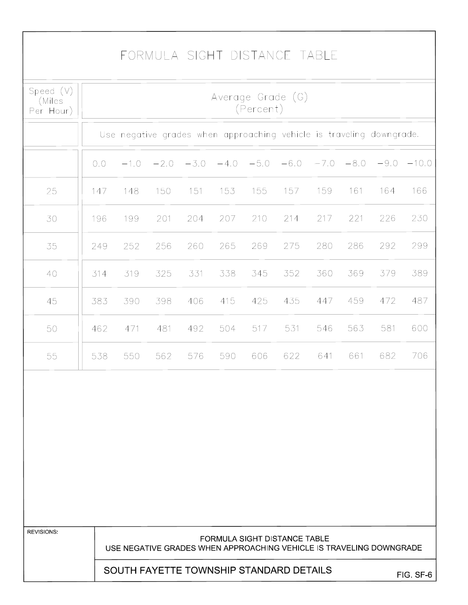## FORMULA SIGHT DISTANCE TABLE

| Speed $(V)$<br>(Miles<br>Per Hour) | Average Grade (G)<br>(Percent) |        |        |        |        |                                                                                                            |        |        |        |        |           |
|------------------------------------|--------------------------------|--------|--------|--------|--------|------------------------------------------------------------------------------------------------------------|--------|--------|--------|--------|-----------|
|                                    |                                |        |        |        |        | Use negative grades when approaching vehicle is traveling downgrade.                                       |        |        |        |        |           |
|                                    | 0.0                            | $-1.0$ | $-2.0$ | $-3.0$ | $-4.0$ | $-5.0$                                                                                                     | $-6.0$ | $-7.0$ | $-8.0$ | $-9.0$ | $-10.0$   |
| 25                                 | 147                            | 148    | 150    | 151    | 153    | 155                                                                                                        | 157    | 159    | 161    | 164    | 166       |
| 30                                 | 196                            | 199    | 201    | 204    | 207    | 210                                                                                                        | 214    | 217    | 221    | 226    | 230       |
| 35                                 | 249                            | 252    | 256    | 260    | 265    | 269                                                                                                        | 275    | 280    | 286    | 292    | 299       |
| 40                                 | 314                            | 319    | 325    | 331    | 338    | 345                                                                                                        | 352    | 360    | 369    | 379    | 389       |
| 45                                 | 383                            | 390    | 398    | 406    | 415    | 425                                                                                                        | 435    | 447    | 459    | 472    | 487       |
| 50                                 | 462                            | 471    | 481    | 492    | 504    | 517                                                                                                        | 531    | 546    | 563    | 581    | 600       |
| 55                                 | 538                            | 550    | 562    | 576    | 590    | 606                                                                                                        | 622    | 641    | 661    | 682    | 706       |
|                                    |                                |        |        |        |        |                                                                                                            |        |        |        |        |           |
| <b>REVISIONS</b>                   |                                |        |        |        |        | <b>FORMULA SIGHT DISTANCE TABLE</b><br>USE NEGATIVE GRADES WHEN APPROACHING VEHICLE IS TRAVELING DOWNGRADE |        |        |        |        |           |
|                                    |                                |        |        |        |        | SOUTH FAYETTE TOWNSHIP STANDARD DETAILS                                                                    |        |        |        |        | FIG. SF-6 |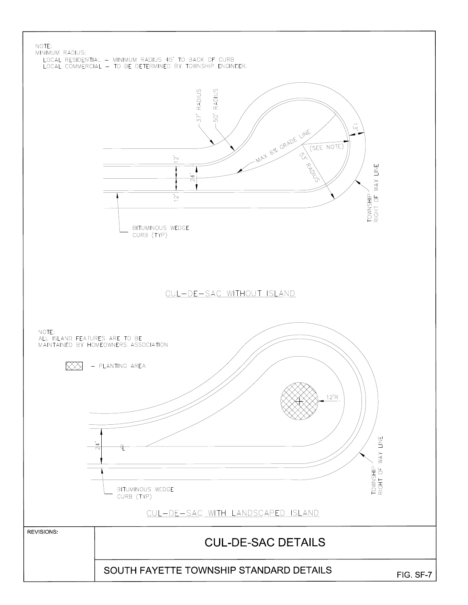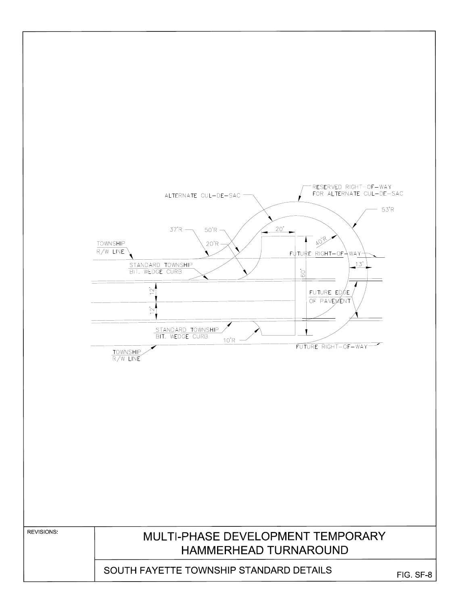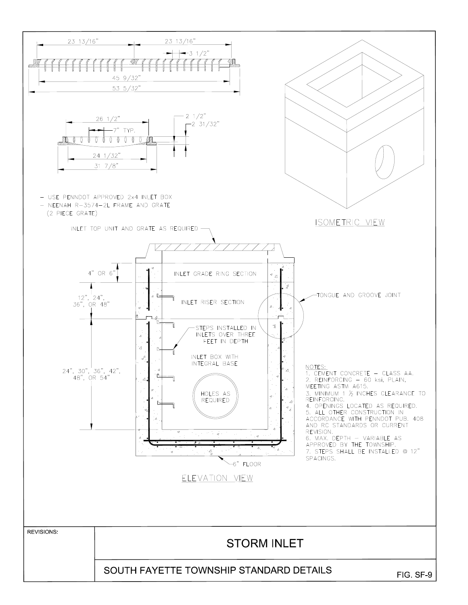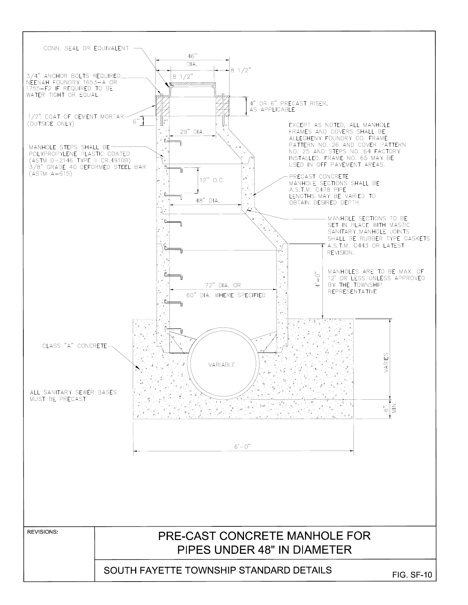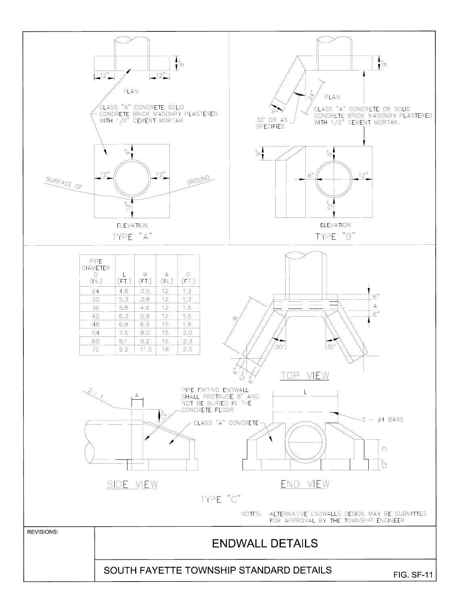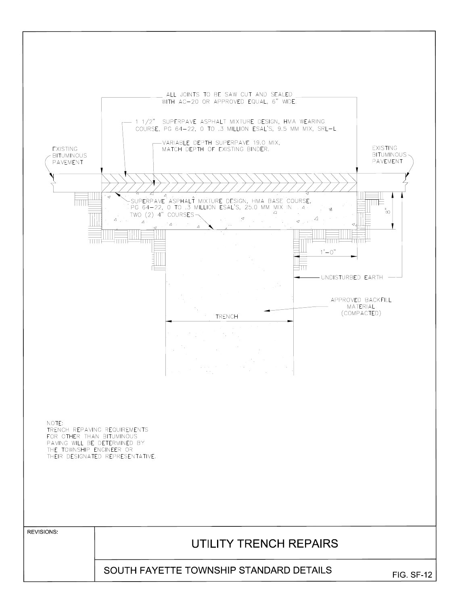